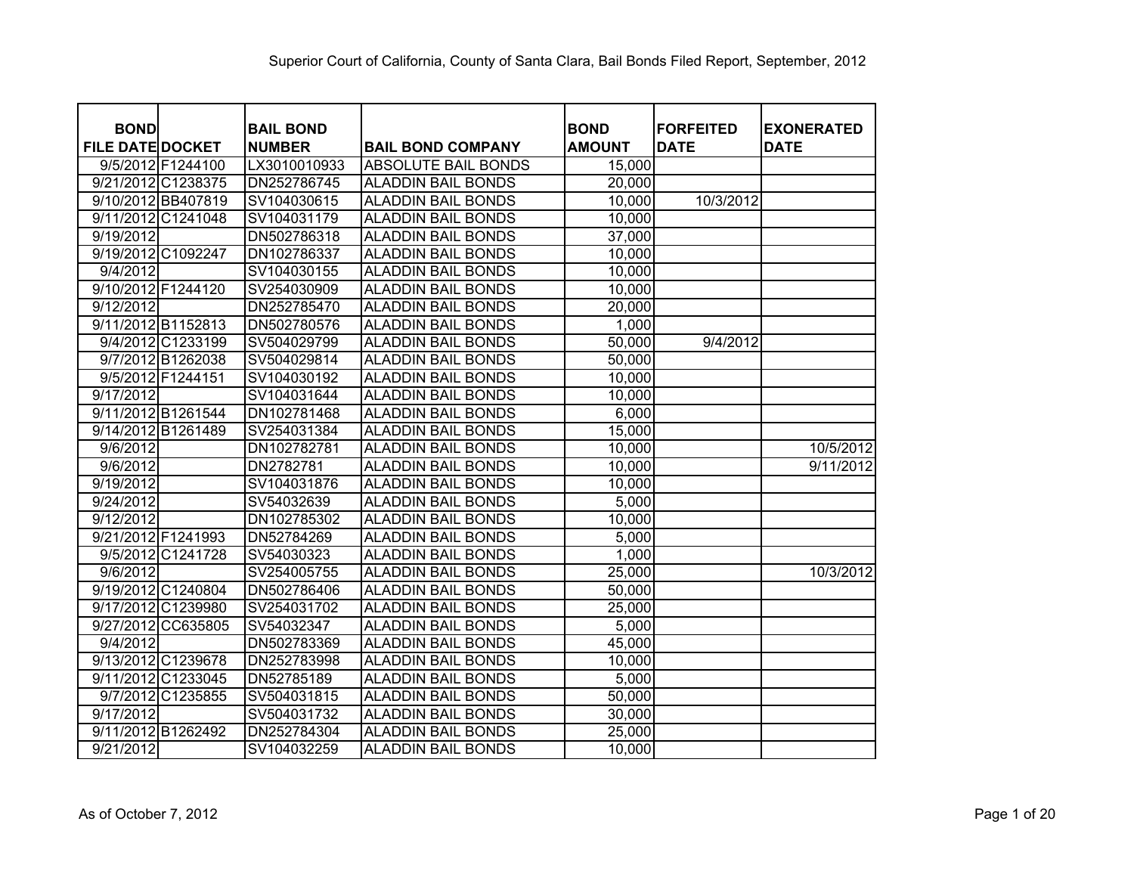| <b>BOND</b>             | <b>BAIL BOND</b> |                           | <b>BOND</b>   | <b>FORFEITED</b> | <b>EXONERATED</b> |
|-------------------------|------------------|---------------------------|---------------|------------------|-------------------|
| <b>FILE DATE DOCKET</b> | <b>NUMBER</b>    | <b>BAIL BOND COMPANY</b>  | <b>AMOUNT</b> | <b>DATE</b>      | <b>DATE</b>       |
| 9/5/2012 F1244100       | LX3010010933     | ABSOLUTE BAIL BONDS       | 15,000        |                  |                   |
| 9/21/2012 C1238375      | DN252786745      | <b>ALADDIN BAIL BONDS</b> | 20,000        |                  |                   |
| 9/10/2012 BB407819      | SV104030615      | <b>ALADDIN BAIL BONDS</b> | 10,000        | 10/3/2012        |                   |
| 9/11/2012 C1241048      | SV104031179      | <b>ALADDIN BAIL BONDS</b> | 10,000        |                  |                   |
| 9/19/2012               | DN502786318      | <b>ALADDIN BAIL BONDS</b> | 37,000        |                  |                   |
| 9/19/2012 C1092247      | DN102786337      | <b>ALADDIN BAIL BONDS</b> | 10,000        |                  |                   |
| 9/4/2012                | SV104030155      | <b>ALADDIN BAIL BONDS</b> | 10,000        |                  |                   |
| 9/10/2012 F1244120      | SV254030909      | <b>ALADDIN BAIL BONDS</b> | 10,000        |                  |                   |
| 9/12/2012               | DN252785470      | <b>ALADDIN BAIL BONDS</b> | 20,000        |                  |                   |
| 9/11/2012 B1152813      | DN502780576      | <b>ALADDIN BAIL BONDS</b> | 1,000         |                  |                   |
| 9/4/2012 C1233199       | SV504029799      | <b>ALADDIN BAIL BONDS</b> | 50,000        | 9/4/2012         |                   |
| 9/7/2012 B1262038       | SV504029814      | <b>ALADDIN BAIL BONDS</b> | 50,000        |                  |                   |
| 9/5/2012 F1244151       | SV104030192      | <b>ALADDIN BAIL BONDS</b> | 10,000        |                  |                   |
| 9/17/2012               | SV104031644      | <b>ALADDIN BAIL BONDS</b> | 10,000        |                  |                   |
| 9/11/2012 B1261544      | DN102781468      | <b>ALADDIN BAIL BONDS</b> | 6,000         |                  |                   |
| 9/14/2012 B1261489      | SV254031384      | <b>ALADDIN BAIL BONDS</b> | 15,000        |                  |                   |
| 9/6/2012                | DN102782781      | <b>ALADDIN BAIL BONDS</b> | 10,000        |                  | 10/5/2012         |
| 9/6/2012                | DN2782781        | <b>ALADDIN BAIL BONDS</b> | 10,000        |                  | 9/11/2012         |
| 9/19/2012               | SV104031876      | <b>ALADDIN BAIL BONDS</b> | 10,000        |                  |                   |
| 9/24/2012               | SV54032639       | <b>ALADDIN BAIL BONDS</b> | 5,000         |                  |                   |
| 9/12/2012               | DN102785302      | <b>ALADDIN BAIL BONDS</b> | 10,000        |                  |                   |
| 9/21/2012 F1241993      | DN52784269       | <b>ALADDIN BAIL BONDS</b> | 5,000         |                  |                   |
| 9/5/2012 C1241728       | SV54030323       | <b>ALADDIN BAIL BONDS</b> | 1,000         |                  |                   |
| 9/6/2012                | SV254005755      | <b>ALADDIN BAIL BONDS</b> | 25,000        |                  | 10/3/2012         |
| 9/19/2012 C1240804      | DN502786406      | <b>ALADDIN BAIL BONDS</b> | 50,000        |                  |                   |
| 9/17/2012 C1239980      | SV254031702      | <b>ALADDIN BAIL BONDS</b> | 25,000        |                  |                   |
| 9/27/2012 CC635805      | SV54032347       | <b>ALADDIN BAIL BONDS</b> | 5,000         |                  |                   |
| 9/4/2012                | DN502783369      | <b>ALADDIN BAIL BONDS</b> | 45,000        |                  |                   |
| 9/13/2012 C1239678      | DN252783998      | <b>ALADDIN BAIL BONDS</b> | 10,000        |                  |                   |
| 9/11/2012 C1233045      | DN52785189       | <b>ALADDIN BAIL BONDS</b> | 5,000         |                  |                   |
| 9/7/2012 C1235855       | SV504031815      | <b>ALADDIN BAIL BONDS</b> | 50,000        |                  |                   |
| 9/17/2012               | SV504031732      | <b>ALADDIN BAIL BONDS</b> | 30,000        |                  |                   |
| 9/11/2012 B1262492      | DN252784304      | <b>ALADDIN BAIL BONDS</b> | 25,000        |                  |                   |
| 9/21/2012               | SV104032259      | <b>ALADDIN BAIL BONDS</b> | 10,000        |                  |                   |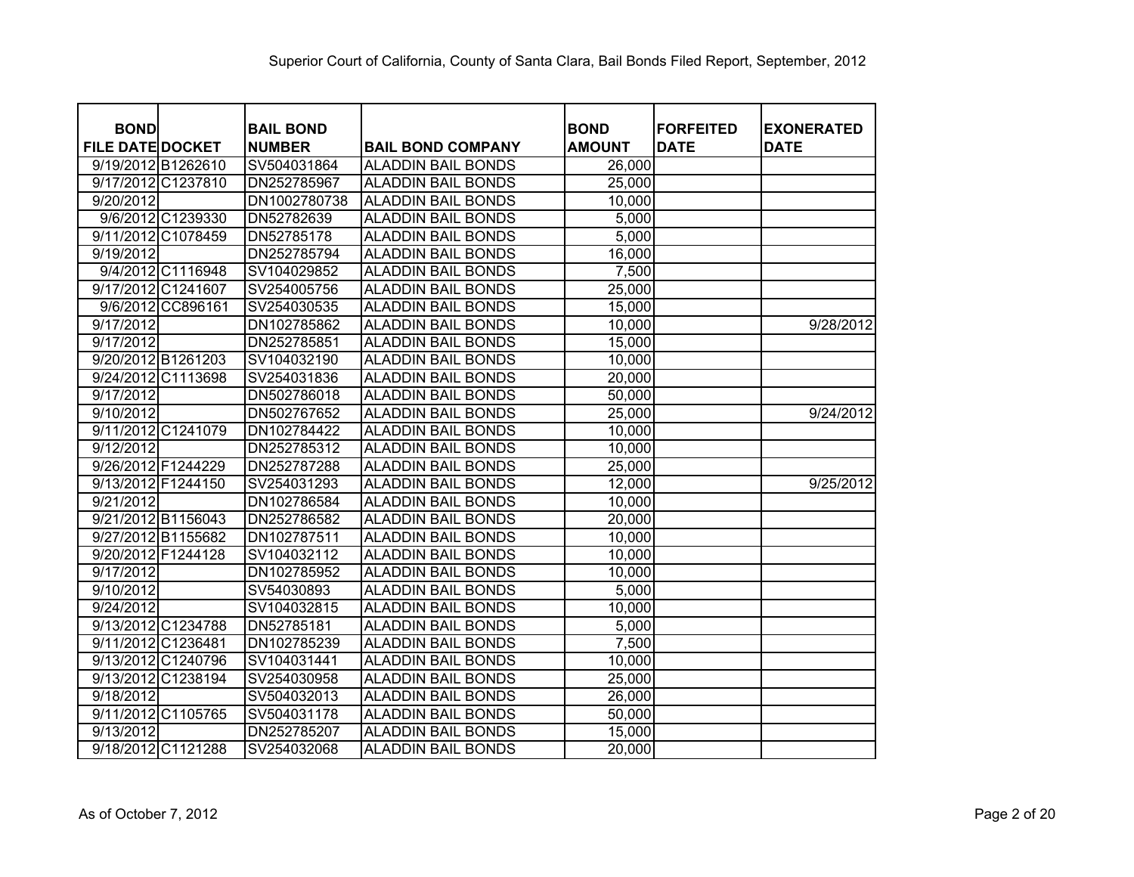| <b>BOND</b>             | <b>BAIL BOND</b> |                           | <b>BOND</b>   | <b>FORFEITED</b> | <b>EXONERATED</b> |
|-------------------------|------------------|---------------------------|---------------|------------------|-------------------|
| <b>FILE DATE DOCKET</b> | <b>NUMBER</b>    | <b>BAIL BOND COMPANY</b>  | <b>AMOUNT</b> | <b>DATE</b>      | <b>DATE</b>       |
| 9/19/2012 B1262610      | SV504031864      | <b>ALADDIN BAIL BONDS</b> | 26,000        |                  |                   |
| 9/17/2012 C1237810      | DN252785967      | <b>ALADDIN BAIL BONDS</b> | 25,000        |                  |                   |
| 9/20/2012               | DN1002780738     | <b>ALADDIN BAIL BONDS</b> | 10,000        |                  |                   |
| 9/6/2012 C1239330       | DN52782639       | <b>ALADDIN BAIL BONDS</b> | 5,000         |                  |                   |
| 9/11/2012 C1078459      | DN52785178       | <b>ALADDIN BAIL BONDS</b> | 5,000         |                  |                   |
| 9/19/2012               | DN252785794      | <b>ALADDIN BAIL BONDS</b> | 16,000        |                  |                   |
| 9/4/2012 C1116948       | SV104029852      | <b>ALADDIN BAIL BONDS</b> | 7,500         |                  |                   |
| 9/17/2012 C1241607      | SV254005756      | <b>ALADDIN BAIL BONDS</b> | 25,000        |                  |                   |
| 9/6/2012 CC896161       | SV254030535      | <b>ALADDIN BAIL BONDS</b> | 15,000        |                  |                   |
| 9/17/2012               | DN102785862      | <b>ALADDIN BAIL BONDS</b> | 10,000        |                  | 9/28/2012         |
| 9/17/2012               | DN252785851      | <b>ALADDIN BAIL BONDS</b> | 15,000        |                  |                   |
| 9/20/2012 B1261203      | SV104032190      | <b>ALADDIN BAIL BONDS</b> | 10,000        |                  |                   |
| 9/24/2012 C1113698      | SV254031836      | <b>ALADDIN BAIL BONDS</b> | 20,000        |                  |                   |
| 9/17/2012               | DN502786018      | <b>ALADDIN BAIL BONDS</b> | 50,000        |                  |                   |
| 9/10/2012               | DN502767652      | <b>ALADDIN BAIL BONDS</b> | 25,000        |                  | 9/24/2012         |
| 9/11/2012 C1241079      | DN102784422      | <b>ALADDIN BAIL BONDS</b> | 10,000        |                  |                   |
| 9/12/2012               | DN252785312      | <b>ALADDIN BAIL BONDS</b> | 10,000        |                  |                   |
| 9/26/2012 F1244229      | DN252787288      | <b>ALADDIN BAIL BONDS</b> | 25,000        |                  |                   |
| 9/13/2012 F1244150      | SV254031293      | <b>ALADDIN BAIL BONDS</b> | 12,000        |                  | 9/25/2012         |
| 9/21/2012               | DN102786584      | <b>ALADDIN BAIL BONDS</b> | 10,000        |                  |                   |
| 9/21/2012 B1156043      | DN252786582      | <b>ALADDIN BAIL BONDS</b> | 20,000        |                  |                   |
| 9/27/2012 B1155682      | DN102787511      | <b>ALADDIN BAIL BONDS</b> | 10,000        |                  |                   |
| 9/20/2012 F1244128      | SV104032112      | <b>ALADDIN BAIL BONDS</b> | 10,000        |                  |                   |
| 9/17/2012               | DN102785952      | <b>ALADDIN BAIL BONDS</b> | 10,000        |                  |                   |
| 9/10/2012               | SV54030893       | <b>ALADDIN BAIL BONDS</b> | 5,000         |                  |                   |
| 9/24/2012               | SV104032815      | <b>ALADDIN BAIL BONDS</b> | 10,000        |                  |                   |
| 9/13/2012 C1234788      | DN52785181       | <b>ALADDIN BAIL BONDS</b> | 5,000         |                  |                   |
| 9/11/2012 C1236481      | DN102785239      | <b>ALADDIN BAIL BONDS</b> | 7,500         |                  |                   |
| 9/13/2012 C1240796      | SV104031441      | <b>ALADDIN BAIL BONDS</b> | 10,000        |                  |                   |
| 9/13/2012 C1238194      | SV254030958      | <b>ALADDIN BAIL BONDS</b> | 25,000        |                  |                   |
| 9/18/2012               | SV504032013      | <b>ALADDIN BAIL BONDS</b> | 26,000        |                  |                   |
| 9/11/2012 C1105765      | SV504031178      | <b>ALADDIN BAIL BONDS</b> | 50,000        |                  |                   |
| 9/13/2012               | DN252785207      | <b>ALADDIN BAIL BONDS</b> | 15,000        |                  |                   |
| 9/18/2012 C1121288      | SV254032068      | <b>ALADDIN BAIL BONDS</b> | 20,000        |                  |                   |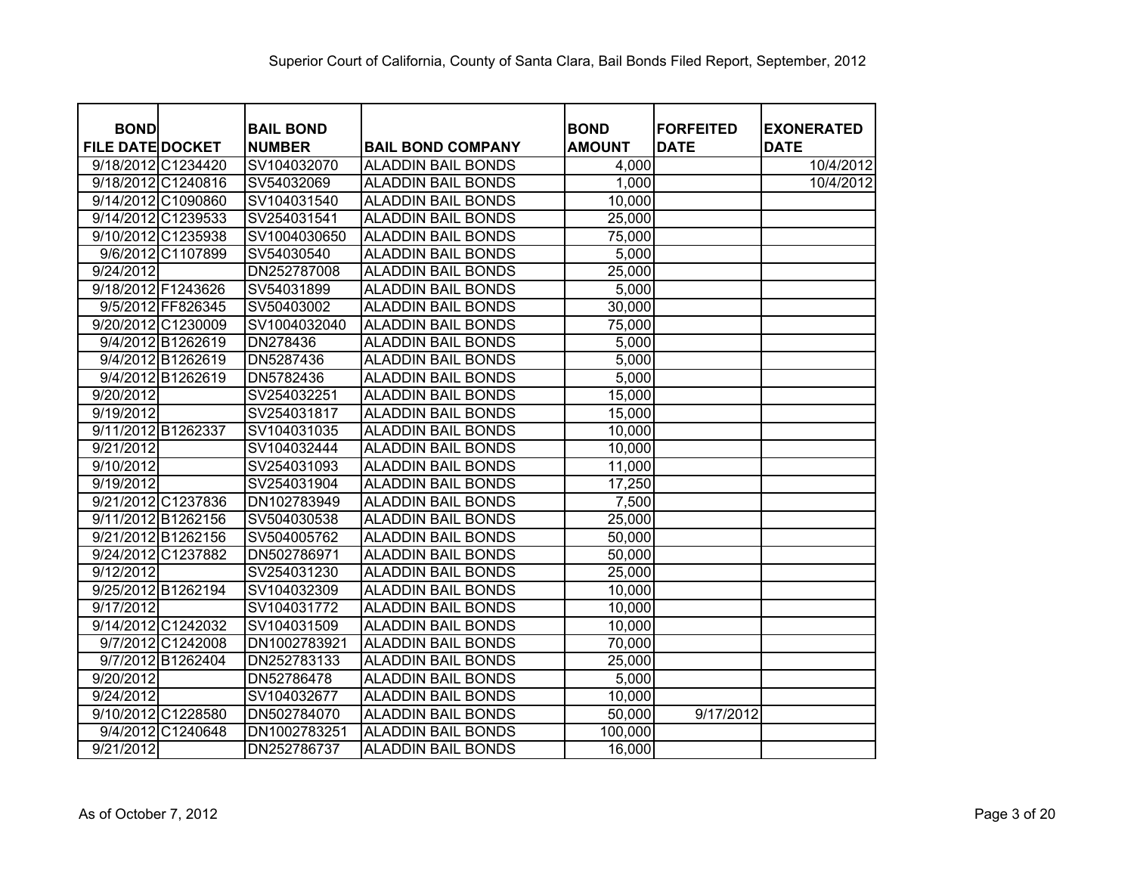| <b>BOND</b>             | <b>BAIL BOND</b> |                           | <b>BOND</b>   | <b>FORFEITED</b> | <b>EXONERATED</b> |
|-------------------------|------------------|---------------------------|---------------|------------------|-------------------|
| <b>FILE DATE DOCKET</b> | <b>NUMBER</b>    | <b>BAIL BOND COMPANY</b>  | <b>AMOUNT</b> | <b>DATE</b>      | <b>DATE</b>       |
| 9/18/2012 C1234420      | SV104032070      | <b>ALADDIN BAIL BONDS</b> | 4,000         |                  | 10/4/2012         |
| 9/18/2012 C1240816      | SV54032069       | <b>ALADDIN BAIL BONDS</b> | 1,000         |                  | 10/4/2012         |
| 9/14/2012 C1090860      | SV104031540      | <b>ALADDIN BAIL BONDS</b> | 10,000        |                  |                   |
| 9/14/2012 C1239533      | SV254031541      | <b>ALADDIN BAIL BONDS</b> | 25,000        |                  |                   |
| 9/10/2012 C1235938      | SV1004030650     | <b>ALADDIN BAIL BONDS</b> | 75,000        |                  |                   |
| 9/6/2012 C1107899       | SV54030540       | <b>ALADDIN BAIL BONDS</b> | 5,000         |                  |                   |
| 9/24/2012               | DN252787008      | <b>ALADDIN BAIL BONDS</b> | 25,000        |                  |                   |
| 9/18/2012 F1243626      | SV54031899       | <b>ALADDIN BAIL BONDS</b> | 5,000         |                  |                   |
| 9/5/2012 FF826345       | SV50403002       | <b>ALADDIN BAIL BONDS</b> | 30,000        |                  |                   |
| 9/20/2012 C1230009      | SV1004032040     | <b>ALADDIN BAIL BONDS</b> | 75,000        |                  |                   |
| 9/4/2012 B1262619       | DN278436         | <b>ALADDIN BAIL BONDS</b> | 5,000         |                  |                   |
| 9/4/2012 B1262619       | DN5287436        | ALADDIN BAIL BONDS        | 5,000         |                  |                   |
| 9/4/2012 B1262619       | DN5782436        | <b>ALADDIN BAIL BONDS</b> | 5,000         |                  |                   |
| 9/20/2012               | SV254032251      | <b>ALADDIN BAIL BONDS</b> | 15,000        |                  |                   |
| 9/19/2012               | SV254031817      | <b>ALADDIN BAIL BONDS</b> | 15,000        |                  |                   |
| 9/11/2012 B1262337      | SV104031035      | <b>ALADDIN BAIL BONDS</b> | 10,000        |                  |                   |
| 9/21/2012               | SV104032444      | <b>ALADDIN BAIL BONDS</b> | 10,000        |                  |                   |
| 9/10/2012               | SV254031093      | <b>ALADDIN BAIL BONDS</b> | 11,000        |                  |                   |
| 9/19/2012               | SV254031904      | <b>ALADDIN BAIL BONDS</b> | 17,250        |                  |                   |
| 9/21/2012 C1237836      | DN102783949      | <b>ALADDIN BAIL BONDS</b> | 7,500         |                  |                   |
| 9/11/2012 B1262156      | SV504030538      | <b>ALADDIN BAIL BONDS</b> | 25,000        |                  |                   |
| 9/21/2012 B1262156      | SV504005762      | <b>ALADDIN BAIL BONDS</b> | 50,000        |                  |                   |
| 9/24/2012 C1237882      | DN502786971      | <b>ALADDIN BAIL BONDS</b> | 50,000        |                  |                   |
| 9/12/2012               | SV254031230      | <b>ALADDIN BAIL BONDS</b> | 25,000        |                  |                   |
| 9/25/2012 B1262194      | SV104032309      | <b>ALADDIN BAIL BONDS</b> | 10,000        |                  |                   |
| 9/17/2012               | SV104031772      | <b>ALADDIN BAIL BONDS</b> | 10,000        |                  |                   |
| 9/14/2012 C1242032      | SV104031509      | <b>ALADDIN BAIL BONDS</b> | 10,000        |                  |                   |
| 9/7/2012 C1242008       | DN1002783921     | <b>ALADDIN BAIL BONDS</b> | 70,000        |                  |                   |
| 9/7/2012 B1262404       | DN252783133      | <b>ALADDIN BAIL BONDS</b> | 25,000        |                  |                   |
| 9/20/2012               | DN52786478       | <b>ALADDIN BAIL BONDS</b> | 5,000         |                  |                   |
| 9/24/2012               | SV104032677      | <b>ALADDIN BAIL BONDS</b> | 10,000        |                  |                   |
| 9/10/2012 C1228580      | DN502784070      | <b>ALADDIN BAIL BONDS</b> | 50,000        | 9/17/2012        |                   |
| 9/4/2012 C1240648       | DN1002783251     | <b>ALADDIN BAIL BONDS</b> | 100,000       |                  |                   |
| 9/21/2012               | DN252786737      | <b>ALADDIN BAIL BONDS</b> | 16,000        |                  |                   |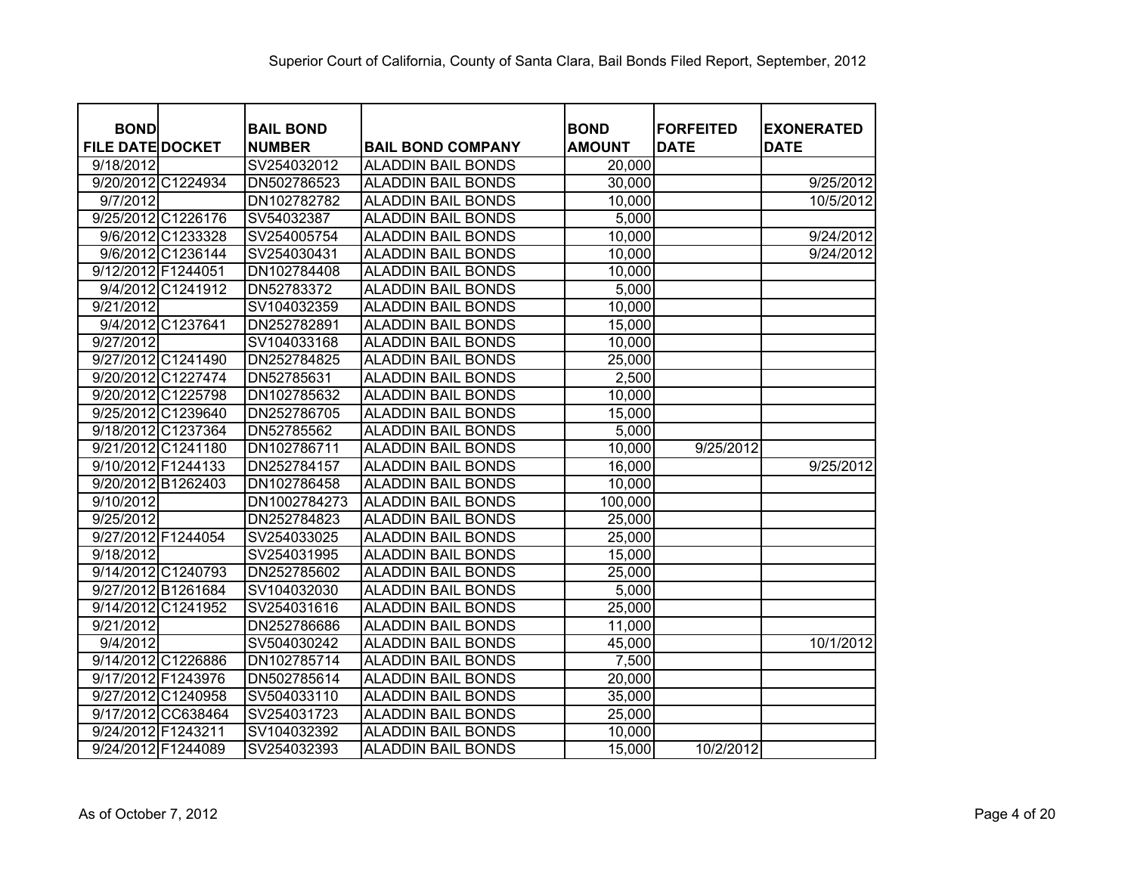| <b>BOND</b>             | <b>BAIL BOND</b> |                           | <b>BOND</b>   | <b>FORFEITED</b> | <b>EXONERATED</b> |
|-------------------------|------------------|---------------------------|---------------|------------------|-------------------|
| <b>FILE DATE DOCKET</b> | <b>NUMBER</b>    | <b>BAIL BOND COMPANY</b>  | <b>AMOUNT</b> | <b>DATE</b>      | <b>DATE</b>       |
| 9/18/2012               | SV254032012      | <b>ALADDIN BAIL BONDS</b> | 20,000        |                  |                   |
| 9/20/2012 C1224934      | DN502786523      | <b>ALADDIN BAIL BONDS</b> | 30,000        |                  | 9/25/2012         |
| 9/7/2012                | DN102782782      | <b>ALADDIN BAIL BONDS</b> | 10,000        |                  | 10/5/2012         |
| 9/25/2012 C1226176      | SV54032387       | <b>ALADDIN BAIL BONDS</b> | 5,000         |                  |                   |
| 9/6/2012 C1233328       | SV254005754      | <b>ALADDIN BAIL BONDS</b> | 10,000        |                  | 9/24/2012         |
| 9/6/2012 C1236144       | SV254030431      | <b>ALADDIN BAIL BONDS</b> | 10,000        |                  | 9/24/2012         |
| 9/12/2012 F1244051      | DN102784408      | <b>ALADDIN BAIL BONDS</b> | 10,000        |                  |                   |
| 9/4/2012 C1241912       | DN52783372       | <b>ALADDIN BAIL BONDS</b> | 5,000         |                  |                   |
| 9/21/2012               | SV104032359      | <b>ALADDIN BAIL BONDS</b> | 10,000        |                  |                   |
| 9/4/2012 C1237641       | DN252782891      | <b>ALADDIN BAIL BONDS</b> | 15,000        |                  |                   |
| 9/27/2012               | SV104033168      | <b>ALADDIN BAIL BONDS</b> | 10,000        |                  |                   |
| 9/27/2012 C1241490      | DN252784825      | <b>ALADDIN BAIL BONDS</b> | 25,000        |                  |                   |
| 9/20/2012 C1227474      | DN52785631       | <b>ALADDIN BAIL BONDS</b> | 2,500         |                  |                   |
| 9/20/2012 C1225798      | DN102785632      | <b>ALADDIN BAIL BONDS</b> | 10,000        |                  |                   |
| 9/25/2012 C1239640      | DN252786705      | <b>ALADDIN BAIL BONDS</b> | 15,000        |                  |                   |
| 9/18/2012 C1237364      | DN52785562       | <b>ALADDIN BAIL BONDS</b> | 5,000         |                  |                   |
| 9/21/2012 C1241180      | DN102786711      | <b>ALADDIN BAIL BONDS</b> | 10,000        | 9/25/2012        |                   |
| 9/10/2012 F1244133      | DN252784157      | <b>ALADDIN BAIL BONDS</b> | 16,000        |                  | 9/25/2012         |
| 9/20/2012 B1262403      | DN102786458      | <b>ALADDIN BAIL BONDS</b> | 10,000        |                  |                   |
| $\overline{9}$ /10/2012 | DN1002784273     | <b>ALADDIN BAIL BONDS</b> | 100,000       |                  |                   |
| 9/25/2012               | DN252784823      | <b>ALADDIN BAIL BONDS</b> | 25,000        |                  |                   |
| 9/27/2012 F1244054      | SV254033025      | <b>ALADDIN BAIL BONDS</b> | 25,000        |                  |                   |
| 9/18/2012               | SV254031995      | <b>ALADDIN BAIL BONDS</b> | 15,000        |                  |                   |
| 9/14/2012 C1240793      | DN252785602      | <b>ALADDIN BAIL BONDS</b> | 25,000        |                  |                   |
| 9/27/2012 B1261684      | SV104032030      | <b>ALADDIN BAIL BONDS</b> | 5,000         |                  |                   |
| 9/14/2012 C1241952      | SV254031616      | <b>ALADDIN BAIL BONDS</b> | 25,000        |                  |                   |
| 9/21/2012               | DN252786686      | <b>ALADDIN BAIL BONDS</b> | 11,000        |                  |                   |
| 9/4/2012                | SV504030242      | <b>ALADDIN BAIL BONDS</b> | 45,000        |                  | 10/1/2012         |
| 9/14/2012 C1226886      | DN102785714      | <b>ALADDIN BAIL BONDS</b> | 7,500         |                  |                   |
| 9/17/2012 F1243976      | DN502785614      | <b>ALADDIN BAIL BONDS</b> | 20,000        |                  |                   |
| 9/27/2012 C1240958      | SV504033110      | <b>ALADDIN BAIL BONDS</b> | 35,000        |                  |                   |
| 9/17/2012 CC638464      | SV254031723      | <b>ALADDIN BAIL BONDS</b> | 25,000        |                  |                   |
| 9/24/2012 F1243211      | SV104032392      | <b>ALADDIN BAIL BONDS</b> | 10,000        |                  |                   |
| 9/24/2012 F1244089      | SV254032393      | <b>ALADDIN BAIL BONDS</b> | 15,000        | 10/2/2012        |                   |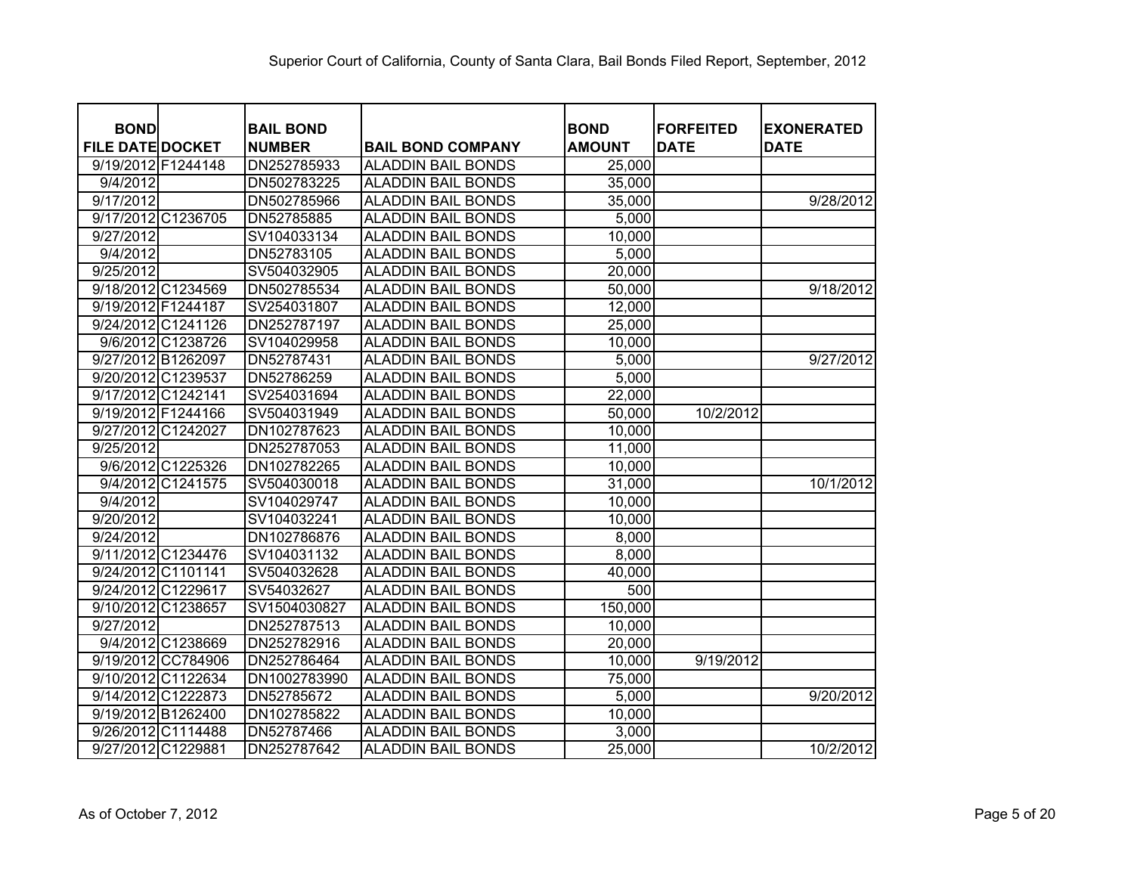| <b>BOND</b><br><b>FILE DATE DOCKET</b> |                    | <b>BAIL BOND</b><br><b>NUMBER</b> | <b>BAIL BOND COMPANY</b>  | <b>BOND</b><br><b>AMOUNT</b> | <b>FORFEITED</b><br><b>DATE</b> | <b>EXONERATED</b><br><b>DATE</b> |
|----------------------------------------|--------------------|-----------------------------------|---------------------------|------------------------------|---------------------------------|----------------------------------|
| 9/19/2012 F1244148                     |                    | DN252785933                       | <b>ALADDIN BAIL BONDS</b> | 25,000                       |                                 |                                  |
| 9/4/2012                               |                    | DN502783225                       | <b>ALADDIN BAIL BONDS</b> | 35,000                       |                                 |                                  |
| 9/17/2012                              |                    | DN502785966                       | <b>ALADDIN BAIL BONDS</b> | 35,000                       |                                 | 9/28/2012                        |
|                                        | 9/17/2012 C1236705 | DN52785885                        | <b>ALADDIN BAIL BONDS</b> | 5,000                        |                                 |                                  |
| 9/27/2012                              |                    | SV104033134                       | <b>ALADDIN BAIL BONDS</b> | 10,000                       |                                 |                                  |
| 9/4/2012                               |                    | DN52783105                        | <b>ALADDIN BAIL BONDS</b> | 5,000                        |                                 |                                  |
| 9/25/2012                              |                    | SV504032905                       | <b>ALADDIN BAIL BONDS</b> | 20,000                       |                                 |                                  |
|                                        | 9/18/2012 C1234569 | DN502785534                       | <b>ALADDIN BAIL BONDS</b> | 50,000                       |                                 | 9/18/2012                        |
| 9/19/2012 F1244187                     |                    | SV254031807                       | <b>ALADDIN BAIL BONDS</b> | 12,000                       |                                 |                                  |
|                                        | 9/24/2012 C1241126 | DN252787197                       | <b>ALADDIN BAIL BONDS</b> | 25,000                       |                                 |                                  |
|                                        | 9/6/2012 C1238726  | SV104029958                       | <b>ALADDIN BAIL BONDS</b> | 10,000                       |                                 |                                  |
| 9/27/2012 B1262097                     |                    | DN52787431                        | <b>ALADDIN BAIL BONDS</b> | 5,000                        |                                 | 9/27/2012                        |
|                                        | 9/20/2012 C1239537 | DN52786259                        | <b>ALADDIN BAIL BONDS</b> | 5,000                        |                                 |                                  |
| 9/17/2012 C1242141                     |                    | SV254031694                       | <b>ALADDIN BAIL BONDS</b> | 22,000                       |                                 |                                  |
| 9/19/2012 F1244166                     |                    | SV504031949                       | <b>ALADDIN BAIL BONDS</b> | 50,000                       | 10/2/2012                       |                                  |
| 9/27/2012 C1242027                     |                    | DN102787623                       | <b>ALADDIN BAIL BONDS</b> | 10,000                       |                                 |                                  |
| 9/25/2012                              |                    | DN252787053                       | <b>ALADDIN BAIL BONDS</b> | 11,000                       |                                 |                                  |
|                                        | 9/6/2012 C1225326  | DN102782265                       | <b>ALADDIN BAIL BONDS</b> | 10,000                       |                                 |                                  |
|                                        | 9/4/2012 C1241575  | SV504030018                       | <b>ALADDIN BAIL BONDS</b> | 31,000                       |                                 | 10/1/2012                        |
| 9/4/2012                               |                    | SV104029747                       | <b>ALADDIN BAIL BONDS</b> | 10,000                       |                                 |                                  |
| 9/20/2012                              |                    | SV104032241                       | <b>ALADDIN BAIL BONDS</b> | 10,000                       |                                 |                                  |
| 9/24/2012                              |                    | DN102786876                       | <b>ALADDIN BAIL BONDS</b> | 8,000                        |                                 |                                  |
|                                        | 9/11/2012 C1234476 | SV104031132                       | <b>ALADDIN BAIL BONDS</b> | 8,000                        |                                 |                                  |
| 9/24/2012 C1101141                     |                    | SV504032628                       | <b>ALADDIN BAIL BONDS</b> | 40,000                       |                                 |                                  |
|                                        | 9/24/2012 C1229617 | SV54032627                        | <b>ALADDIN BAIL BONDS</b> | 500                          |                                 |                                  |
|                                        | 9/10/2012 C1238657 | SV1504030827                      | <b>ALADDIN BAIL BONDS</b> | 150,000                      |                                 |                                  |
| 9/27/2012                              |                    | DN252787513                       | <b>ALADDIN BAIL BONDS</b> | 10,000                       |                                 |                                  |
|                                        | 9/4/2012 C1238669  | DN252782916                       | <b>ALADDIN BAIL BONDS</b> | 20,000                       |                                 |                                  |
|                                        | 9/19/2012 CC784906 | DN252786464                       | <b>ALADDIN BAIL BONDS</b> | 10,000                       | 9/19/2012                       |                                  |
|                                        | 9/10/2012 C1122634 | DN1002783990                      | <b>ALADDIN BAIL BONDS</b> | 75,000                       |                                 |                                  |
|                                        | 9/14/2012 C1222873 | DN52785672                        | <b>ALADDIN BAIL BONDS</b> | 5,000                        |                                 | 9/20/2012                        |
|                                        | 9/19/2012 B1262400 | DN102785822                       | <b>ALADDIN BAIL BONDS</b> | 10,000                       |                                 |                                  |
|                                        | 9/26/2012 C1114488 | DN52787466                        | <b>ALADDIN BAIL BONDS</b> | 3,000                        |                                 |                                  |
|                                        | 9/27/2012 C1229881 | DN252787642                       | <b>ALADDIN BAIL BONDS</b> | 25,000                       |                                 | 10/2/2012                        |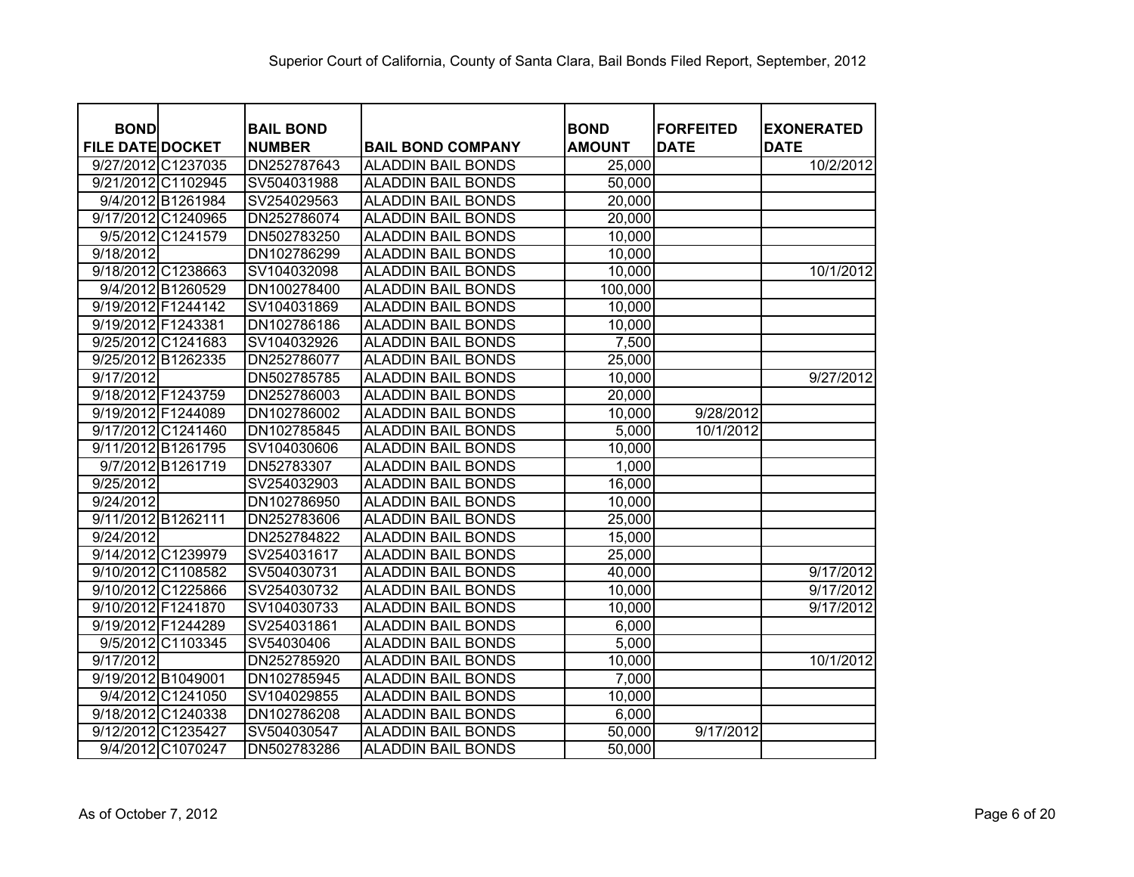| <b>BOND</b>             |                   | <b>BAIL BOND</b> |                           | <b>BOND</b>   | <b>FORFEITED</b> | <b>EXONERATED</b> |
|-------------------------|-------------------|------------------|---------------------------|---------------|------------------|-------------------|
| <b>FILE DATE DOCKET</b> |                   | <b>NUMBER</b>    | <b>BAIL BOND COMPANY</b>  | <b>AMOUNT</b> | <b>DATE</b>      | <b>DATE</b>       |
| 9/27/2012 C1237035      |                   | DN252787643      | <b>ALADDIN BAIL BONDS</b> | 25,000        |                  | 10/2/2012         |
| 9/21/2012 C1102945      |                   | SV504031988      | <b>ALADDIN BAIL BONDS</b> | 50,000        |                  |                   |
|                         | 9/4/2012 B1261984 | SV254029563      | <b>ALADDIN BAIL BONDS</b> | 20,000        |                  |                   |
| 9/17/2012 C1240965      |                   | DN252786074      | <b>ALADDIN BAIL BONDS</b> | 20,000        |                  |                   |
|                         | 9/5/2012 C1241579 | DN502783250      | <b>ALADDIN BAIL BONDS</b> | 10,000        |                  |                   |
| 9/18/2012               |                   | DN102786299      | <b>ALADDIN BAIL BONDS</b> | 10,000        |                  |                   |
| 9/18/2012 C1238663      |                   | SV104032098      | <b>ALADDIN BAIL BONDS</b> | 10,000        |                  | 10/1/2012         |
|                         | 9/4/2012 B1260529 | DN100278400      | <b>ALADDIN BAIL BONDS</b> | 100,000       |                  |                   |
| 9/19/2012 F1244142      |                   | SV104031869      | <b>ALADDIN BAIL BONDS</b> | 10,000        |                  |                   |
| 9/19/2012 F1243381      |                   | DN102786186      | <b>ALADDIN BAIL BONDS</b> | 10,000        |                  |                   |
| 9/25/2012 C1241683      |                   | SV104032926      | <b>ALADDIN BAIL BONDS</b> | 7,500         |                  |                   |
| 9/25/2012 B1262335      |                   | DN252786077      | <b>ALADDIN BAIL BONDS</b> | 25,000        |                  |                   |
| 9/17/2012               |                   | DN502785785      | <b>ALADDIN BAIL BONDS</b> | 10,000        |                  | 9/27/2012         |
| 9/18/2012 F1243759      |                   | DN252786003      | <b>ALADDIN BAIL BONDS</b> | 20,000        |                  |                   |
| 9/19/2012 F1244089      |                   | DN102786002      | <b>ALADDIN BAIL BONDS</b> | 10,000        | 9/28/2012        |                   |
| 9/17/2012 C1241460      |                   | DN102785845      | <b>ALADDIN BAIL BONDS</b> | 5,000         | 10/1/2012        |                   |
| 9/11/2012 B1261795      |                   | SV104030606      | <b>ALADDIN BAIL BONDS</b> | 10,000        |                  |                   |
|                         | 9/7/2012 B1261719 | DN52783307       | <b>ALADDIN BAIL BONDS</b> | 1,000         |                  |                   |
| 9/25/2012               |                   | SV254032903      | <b>ALADDIN BAIL BONDS</b> | 16,000        |                  |                   |
| 9/24/2012               |                   | DN102786950      | <b>ALADDIN BAIL BONDS</b> | 10,000        |                  |                   |
| 9/11/2012 B1262111      |                   | DN252783606      | <b>ALADDIN BAIL BONDS</b> | 25,000        |                  |                   |
| 9/24/2012               |                   | DN252784822      | <b>ALADDIN BAIL BONDS</b> | 15,000        |                  |                   |
| 9/14/2012 C1239979      |                   | SV254031617      | <b>ALADDIN BAIL BONDS</b> | 25,000        |                  |                   |
| 9/10/2012 C1108582      |                   | SV504030731      | <b>ALADDIN BAIL BONDS</b> | 40,000        |                  | 9/17/2012         |
| 9/10/2012 C1225866      |                   | SV254030732      | <b>ALADDIN BAIL BONDS</b> | 10,000        |                  | 9/17/2012         |
| 9/10/2012 F1241870      |                   | SV104030733      | <b>ALADDIN BAIL BONDS</b> | 10,000        |                  | 9/17/2012         |
| 9/19/2012 F1244289      |                   | SV254031861      | <b>ALADDIN BAIL BONDS</b> | 6,000         |                  |                   |
|                         | 9/5/2012 C1103345 | SV54030406       | <b>ALADDIN BAIL BONDS</b> | 5,000         |                  |                   |
| 9/17/2012               |                   | DN252785920      | <b>ALADDIN BAIL BONDS</b> | 10,000        |                  | 10/1/2012         |
| 9/19/2012 B1049001      |                   | DN102785945      | <b>ALADDIN BAIL BONDS</b> | 7,000         |                  |                   |
|                         | 9/4/2012 C1241050 | SV104029855      | <b>ALADDIN BAIL BONDS</b> | 10,000        |                  |                   |
| 9/18/2012 C1240338      |                   | DN102786208      | <b>ALADDIN BAIL BONDS</b> | 6,000         |                  |                   |
| 9/12/2012 C1235427      |                   | SV504030547      | <b>ALADDIN BAIL BONDS</b> | 50,000        | 9/17/2012        |                   |
|                         | 9/4/2012 C1070247 | DN502783286      | <b>ALADDIN BAIL BONDS</b> | 50,000        |                  |                   |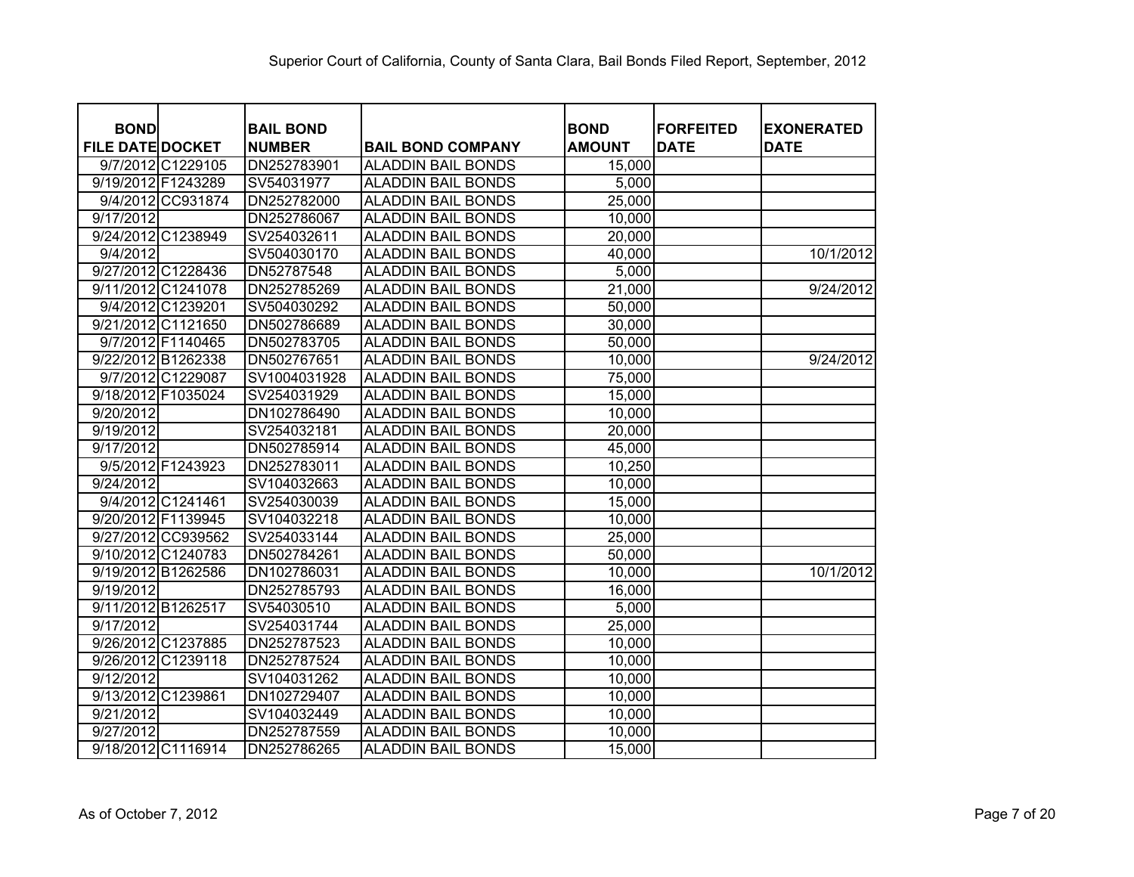| <b>BOND</b>             | <b>BAIL BOND</b> |                           | <b>BOND</b>   | <b>FORFEITED</b> | <b>EXONERATED</b> |
|-------------------------|------------------|---------------------------|---------------|------------------|-------------------|
| <b>FILE DATE DOCKET</b> | <b>NUMBER</b>    | <b>BAIL BOND COMPANY</b>  | <b>AMOUNT</b> | <b>DATE</b>      | <b>DATE</b>       |
| 9/7/2012 C1229105       | DN252783901      | <b>ALADDIN BAIL BONDS</b> | 15,000        |                  |                   |
| 9/19/2012 F1243289      | SV54031977       | <b>ALADDIN BAIL BONDS</b> | 5,000         |                  |                   |
| 9/4/2012 CC931874       | DN252782000      | <b>ALADDIN BAIL BONDS</b> | 25,000        |                  |                   |
| 9/17/2012               | DN252786067      | <b>ALADDIN BAIL BONDS</b> | 10,000        |                  |                   |
| 9/24/2012 C1238949      | SV254032611      | <b>ALADDIN BAIL BONDS</b> | 20,000        |                  |                   |
| 9/4/2012                | SV504030170      | <b>ALADDIN BAIL BONDS</b> | 40,000        |                  | 10/1/2012         |
| 9/27/2012 C1228436      | DN52787548       | <b>ALADDIN BAIL BONDS</b> | 5,000         |                  |                   |
| 9/11/2012 C1241078      | DN252785269      | <b>ALADDIN BAIL BONDS</b> | 21,000        |                  | 9/24/2012         |
| 9/4/2012 C1239201       | SV504030292      | <b>ALADDIN BAIL BONDS</b> | 50,000        |                  |                   |
| 9/21/2012 C1121650      | DN502786689      | <b>ALADDIN BAIL BONDS</b> | 30,000        |                  |                   |
| 9/7/2012 F1140465       | DN502783705      | <b>ALADDIN BAIL BONDS</b> | 50,000        |                  |                   |
| 9/22/2012 B1262338      | DN502767651      | <b>ALADDIN BAIL BONDS</b> | 10,000        |                  | 9/24/2012         |
| 9/7/2012 C1229087       | SV1004031928     | <b>ALADDIN BAIL BONDS</b> | 75,000        |                  |                   |
| 9/18/2012 F1035024      | SV254031929      | <b>ALADDIN BAIL BONDS</b> | 15,000        |                  |                   |
| 9/20/2012               | DN102786490      | ALADDIN BAIL BONDS        | 10,000        |                  |                   |
| 9/19/2012               | SV254032181      | <b>ALADDIN BAIL BONDS</b> | 20,000        |                  |                   |
| 9/17/2012               | DN502785914      | <b>ALADDIN BAIL BONDS</b> | 45,000        |                  |                   |
| 9/5/2012 F1243923       | DN252783011      | <b>ALADDIN BAIL BONDS</b> | 10,250        |                  |                   |
| 9/24/2012               | SV104032663      | <b>ALADDIN BAIL BONDS</b> | 10,000        |                  |                   |
| 9/4/2012 C1241461       | SV254030039      | <b>ALADDIN BAIL BONDS</b> | 15,000        |                  |                   |
| 9/20/2012 F1139945      | SV104032218      | <b>ALADDIN BAIL BONDS</b> | 10,000        |                  |                   |
| 9/27/2012 CC939562      | SV254033144      | <b>ALADDIN BAIL BONDS</b> | 25,000        |                  |                   |
| 9/10/2012 C1240783      | DN502784261      | <b>ALADDIN BAIL BONDS</b> | 50,000        |                  |                   |
| 9/19/2012 B1262586      | DN102786031      | <b>ALADDIN BAIL BONDS</b> | 10,000        |                  | 10/1/2012         |
| 9/19/2012               | DN252785793      | <b>ALADDIN BAIL BONDS</b> | 16,000        |                  |                   |
| 9/11/2012 B1262517      | SV54030510       | <b>ALADDIN BAIL BONDS</b> | 5,000         |                  |                   |
| 9/17/2012               | SV254031744      | <b>ALADDIN BAIL BONDS</b> | 25,000        |                  |                   |
| 9/26/2012 C1237885      | DN252787523      | <b>ALADDIN BAIL BONDS</b> | 10,000        |                  |                   |
| 9/26/2012 C1239118      | DN252787524      | <b>ALADDIN BAIL BONDS</b> | 10,000        |                  |                   |
| 9/12/2012               | SV104031262      | <b>ALADDIN BAIL BONDS</b> | 10,000        |                  |                   |
| 9/13/2012 C1239861      | DN102729407      | <b>ALADDIN BAIL BONDS</b> | 10,000        |                  |                   |
| 9/21/2012               | SV104032449      | <b>ALADDIN BAIL BONDS</b> | 10,000        |                  |                   |
| 9/27/2012               | DN252787559      | <b>ALADDIN BAIL BONDS</b> | 10,000        |                  |                   |
| 9/18/2012 C1116914      | DN252786265      | <b>ALADDIN BAIL BONDS</b> | 15,000        |                  |                   |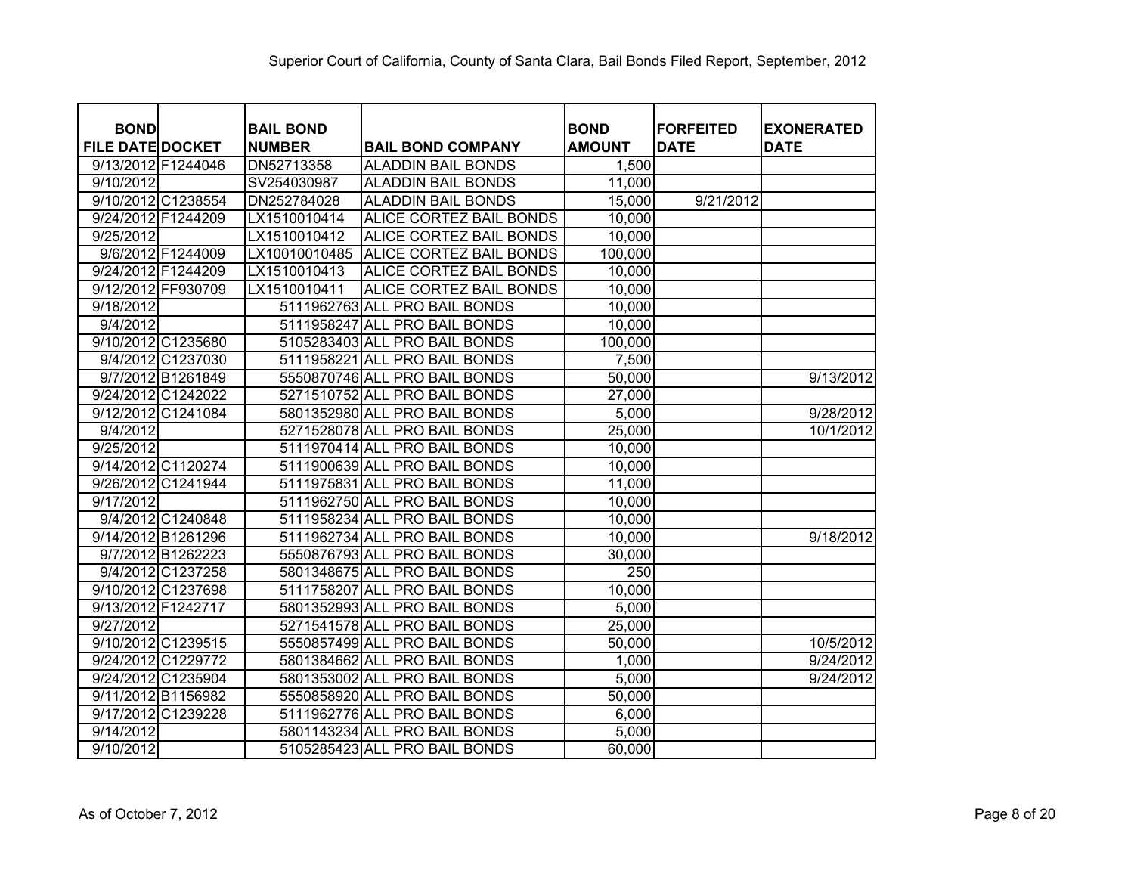| <b>BOND</b>             |                    | <b>BAIL BOND</b> |                               | <b>BOND</b>      | <b>FORFEITED</b> | <b>EXONERATED</b> |
|-------------------------|--------------------|------------------|-------------------------------|------------------|------------------|-------------------|
| <b>FILE DATE DOCKET</b> |                    | <b>NUMBER</b>    | <b>BAIL BOND COMPANY</b>      | <b>AMOUNT</b>    | <b>DATE</b>      | <b>DATE</b>       |
| 9/13/2012 F1244046      |                    | DN52713358       | <b>ALADDIN BAIL BONDS</b>     | 1,500            |                  |                   |
| 9/10/2012               |                    | SV254030987      | <b>ALADDIN BAIL BONDS</b>     | 11,000           |                  |                   |
|                         | 9/10/2012 C1238554 | DN252784028      | <b>ALADDIN BAIL BONDS</b>     | 15,000           | 9/21/2012        |                   |
| 9/24/2012 F1244209      |                    | LX1510010414     | ALICE CORTEZ BAIL BONDS       | 10,000           |                  |                   |
| 9/25/2012               |                    | LX1510010412     | ALICE CORTEZ BAIL BONDS       | 10,000           |                  |                   |
|                         | 9/6/2012 F1244009  | LX10010010485    | ALICE CORTEZ BAIL BONDS       | 100,000          |                  |                   |
| 9/24/2012 F1244209      |                    | LX1510010413     | ALICE CORTEZ BAIL BONDS       | 10,000           |                  |                   |
| 9/12/2012 FF930709      |                    | LX1510010411     | ALICE CORTEZ BAIL BONDS       | 10,000           |                  |                   |
| 9/18/2012               |                    |                  | 5111962763 ALL PRO BAIL BONDS | 10,000           |                  |                   |
| 9/4/2012                |                    |                  | 5111958247 ALL PRO BAIL BONDS | 10,000           |                  |                   |
|                         | 9/10/2012 C1235680 |                  | 5105283403 ALL PRO BAIL BONDS | 100,000          |                  |                   |
|                         | 9/4/2012 C1237030  | 5111958221       | <b>ALL PRO BAIL BONDS</b>     | 7,500            |                  |                   |
|                         | 9/7/2012 B1261849  |                  | 5550870746 ALL PRO BAIL BONDS | 50,000           |                  | 9/13/2012         |
| 9/24/2012 C1242022      |                    |                  | 5271510752 ALL PRO BAIL BONDS | 27,000           |                  |                   |
|                         | 9/12/2012 C1241084 |                  | 5801352980 ALL PRO BAIL BONDS | 5,000            |                  | 9/28/2012         |
| 9/4/2012                |                    |                  | 5271528078 ALL PRO BAIL BONDS | 25,000           |                  | 10/1/2012         |
| 9/25/2012               |                    |                  | 5111970414 ALL PRO BAIL BONDS | 10,000           |                  |                   |
|                         | 9/14/2012 C1120274 |                  | 5111900639 ALL PRO BAIL BONDS | 10,000           |                  |                   |
|                         | 9/26/2012 C1241944 |                  | 5111975831 ALL PRO BAIL BONDS | 11,000           |                  |                   |
| 9/17/2012               |                    |                  | 5111962750 ALL PRO BAIL BONDS | 10,000           |                  |                   |
|                         | 9/4/2012 C1240848  |                  | 5111958234 ALL PRO BAIL BONDS | 10,000           |                  |                   |
| 9/14/2012 B1261296      |                    |                  | 5111962734 ALL PRO BAIL BONDS | 10,000           |                  | 9/18/2012         |
|                         | 9/7/2012 B1262223  |                  | 5550876793 ALL PRO BAIL BONDS | 30,000           |                  |                   |
|                         | 9/4/2012 C1237258  |                  | 5801348675 ALL PRO BAIL BONDS | $\overline{250}$ |                  |                   |
| 9/10/2012 C1237698      |                    |                  | 5111758207 ALL PRO BAIL BONDS | 10,000           |                  |                   |
| 9/13/2012 F1242717      |                    |                  | 5801352993 ALL PRO BAIL BONDS | 5,000            |                  |                   |
| 9/27/2012               |                    |                  | 5271541578 ALL PRO BAIL BONDS | 25,000           |                  |                   |
| 9/10/2012 C1239515      |                    |                  | 5550857499 ALL PRO BAIL BONDS | 50,000           |                  | 10/5/2012         |
| 9/24/2012 C1229772      |                    |                  | 5801384662 ALL PRO BAIL BONDS | 1,000            |                  | 9/24/2012         |
|                         | 9/24/2012 C1235904 |                  | 5801353002 ALL PRO BAIL BONDS | 5,000            |                  | 9/24/2012         |
| 9/11/2012 B1156982      |                    |                  | 5550858920 ALL PRO BAIL BONDS | 50,000           |                  |                   |
| 9/17/2012 C1239228      |                    |                  | 5111962776 ALL PRO BAIL BONDS | 6,000            |                  |                   |
| 9/14/2012               |                    |                  | 5801143234 ALL PRO BAIL BONDS | 5,000            |                  |                   |
| 9/10/2012               |                    |                  | 5105285423 ALL PRO BAIL BONDS | 60,000           |                  |                   |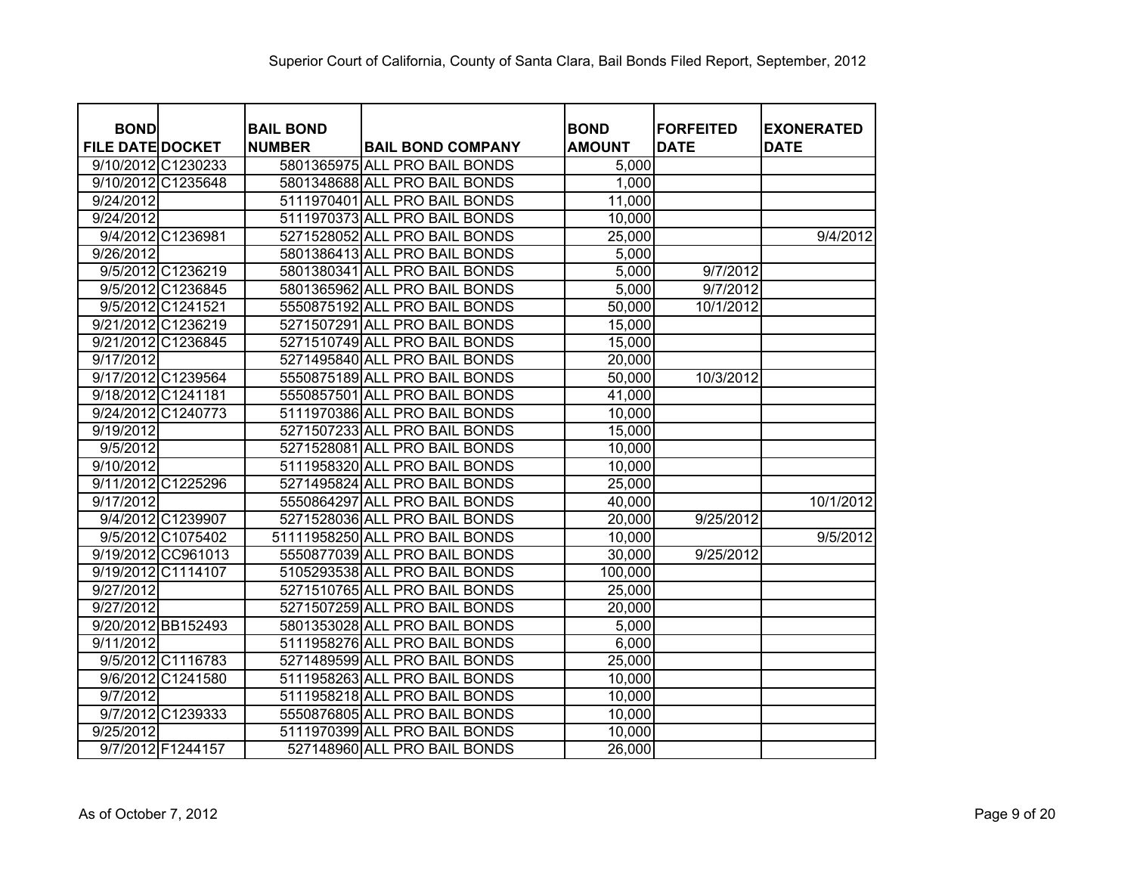| <b>BOND</b>             |                    | <b>BAIL BOND</b> |                                | <b>BOND</b>   | <b>FORFEITED</b> | <b>EXONERATED</b> |
|-------------------------|--------------------|------------------|--------------------------------|---------------|------------------|-------------------|
| <b>FILE DATE DOCKET</b> |                    | <b>NUMBER</b>    | <b>BAIL BOND COMPANY</b>       | <b>AMOUNT</b> | <b>DATE</b>      | <b>DATE</b>       |
|                         | 9/10/2012 C1230233 |                  | 5801365975 ALL PRO BAIL BONDS  | 5,000         |                  |                   |
|                         | 9/10/2012 C1235648 |                  | 5801348688 ALL PRO BAIL BONDS  | 1,000         |                  |                   |
| 9/24/2012               |                    |                  | 5111970401 ALL PRO BAIL BONDS  | 11,000        |                  |                   |
| 9/24/2012               |                    |                  | 5111970373 ALL PRO BAIL BONDS  | 10,000        |                  |                   |
|                         | 9/4/2012 C1236981  |                  | 5271528052 ALL PRO BAIL BONDS  | 25,000        |                  | 9/4/2012          |
| 9/26/2012               |                    |                  | 5801386413 ALL PRO BAIL BONDS  | 5,000         |                  |                   |
|                         | 9/5/2012 C1236219  |                  | 5801380341 ALL PRO BAIL BONDS  | 5,000         | 9/7/2012         |                   |
|                         | 9/5/2012 C1236845  |                  | 5801365962 ALL PRO BAIL BONDS  | 5,000         | 9/7/2012         |                   |
|                         | 9/5/2012 C1241521  |                  | 5550875192 ALL PRO BAIL BONDS  | 50,000        | 10/1/2012        |                   |
|                         | 9/21/2012 C1236219 |                  | 5271507291 ALL PRO BAIL BONDS  | 15,000        |                  |                   |
|                         | 9/21/2012 C1236845 |                  | 5271510749 ALL PRO BAIL BONDS  | 15,000        |                  |                   |
| 9/17/2012               |                    |                  | 5271495840 ALL PRO BAIL BONDS  | 20,000        |                  |                   |
|                         | 9/17/2012 C1239564 |                  | 5550875189 ALL PRO BAIL BONDS  | 50,000        | 10/3/2012        |                   |
| 9/18/2012 C1241181      |                    |                  | 5550857501 ALL PRO BAIL BONDS  | 41,000        |                  |                   |
|                         | 9/24/2012 C1240773 |                  | 5111970386 ALL PRO BAIL BONDS  | 10,000        |                  |                   |
| 9/19/2012               |                    |                  | 5271507233 ALL PRO BAIL BONDS  | 15,000        |                  |                   |
| 9/5/2012                |                    |                  | 5271528081 ALL PRO BAIL BONDS  | 10,000        |                  |                   |
| 9/10/2012               |                    |                  | 5111958320 ALL PRO BAIL BONDS  | 10,000        |                  |                   |
|                         | 9/11/2012 C1225296 |                  | 5271495824 ALL PRO BAIL BONDS  | 25,000        |                  |                   |
| 9/17/2012               |                    |                  | 5550864297 ALL PRO BAIL BONDS  | 40,000        |                  | 10/1/2012         |
|                         | 9/4/2012 C1239907  |                  | 5271528036 ALL PRO BAIL BONDS  | 20,000        | 9/25/2012        |                   |
|                         | 9/5/2012 C1075402  |                  | 51111958250 ALL PRO BAIL BONDS | 10,000        |                  | 9/5/2012          |
|                         | 9/19/2012 CC961013 |                  | 5550877039 ALL PRO BAIL BONDS  | 30,000        | 9/25/2012        |                   |
| 9/19/2012 C1114107      |                    |                  | 5105293538 ALL PRO BAIL BONDS  | 100,000       |                  |                   |
| 9/27/2012               |                    |                  | 5271510765 ALL PRO BAIL BONDS  | 25,000        |                  |                   |
| 9/27/2012               |                    |                  | 5271507259 ALL PRO BAIL BONDS  | 20,000        |                  |                   |
|                         | 9/20/2012 BB152493 |                  | 5801353028 ALL PRO BAIL BONDS  | 5,000         |                  |                   |
| 9/11/2012               |                    |                  | 5111958276 ALL PRO BAIL BONDS  | 6,000         |                  |                   |
|                         | 9/5/2012 C1116783  |                  | 5271489599 ALL PRO BAIL BONDS  | 25,000        |                  |                   |
|                         | 9/6/2012 C1241580  |                  | 5111958263 ALL PRO BAIL BONDS  | 10,000        |                  |                   |
| 9/7/2012                |                    |                  | 5111958218 ALL PRO BAIL BONDS  | 10,000        |                  |                   |
|                         | 9/7/2012 C1239333  |                  | 5550876805 ALL PRO BAIL BONDS  | 10,000        |                  |                   |
| 9/25/2012               |                    |                  | 5111970399 ALL PRO BAIL BONDS  | 10,000        |                  |                   |
|                         | 9/7/2012 F1244157  |                  | 527148960 ALL PRO BAIL BONDS   | 26,000        |                  |                   |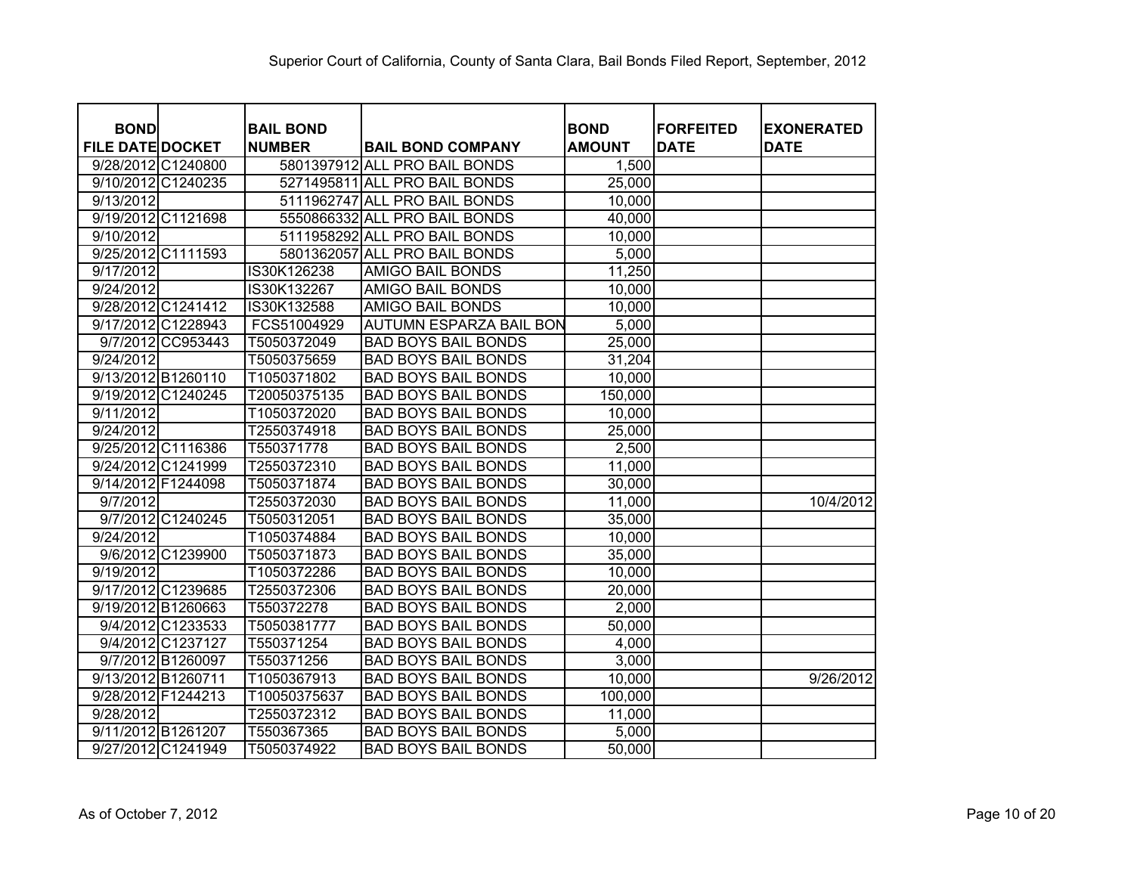| <b>BOND</b>             | <b>BAIL BOND</b> |                                | <b>BOND</b>   | <b>FORFEITED</b> | <b>EXONERATED</b> |
|-------------------------|------------------|--------------------------------|---------------|------------------|-------------------|
| <b>FILE DATE DOCKET</b> | <b>NUMBER</b>    | <b>BAIL BOND COMPANY</b>       | <b>AMOUNT</b> | <b>DATE</b>      | <b>DATE</b>       |
| 9/28/2012 C1240800      |                  | 5801397912 ALL PRO BAIL BONDS  | 1,500         |                  |                   |
| 9/10/2012 C1240235      |                  | 5271495811 ALL PRO BAIL BONDS  | 25,000        |                  |                   |
| 9/13/2012               |                  | 5111962747 ALL PRO BAIL BONDS  | 10,000        |                  |                   |
| 9/19/2012 C1121698      |                  | 5550866332 ALL PRO BAIL BONDS  | 40,000        |                  |                   |
| 9/10/2012               |                  | 5111958292 ALL PRO BAIL BONDS  | 10,000        |                  |                   |
| 9/25/2012 C1111593      |                  | 5801362057 ALL PRO BAIL BONDS  | 5,000         |                  |                   |
| 9/17/2012               | IS30K126238      | <b>AMIGO BAIL BONDS</b>        | 11,250        |                  |                   |
| 9/24/2012               | IS30K132267      | <b>AMIGO BAIL BONDS</b>        | 10,000        |                  |                   |
| 9/28/2012 C1241412      | IS30K132588      | <b>AMIGO BAIL BONDS</b>        | 10,000        |                  |                   |
| 9/17/2012 C1228943      | FCS51004929      | <b>AUTUMN ESPARZA BAIL BON</b> | 5,000         |                  |                   |
| 9/7/2012 CC953443       | T5050372049      | <b>BAD BOYS BAIL BONDS</b>     | 25,000        |                  |                   |
| 9/24/2012               | T5050375659      | <b>BAD BOYS BAIL BONDS</b>     | 31,204        |                  |                   |
| 9/13/2012 B1260110      | T1050371802      | <b>BAD BOYS BAIL BONDS</b>     | 10,000        |                  |                   |
| 9/19/2012 C1240245      | T20050375135     | <b>BAD BOYS BAIL BONDS</b>     | 150,000       |                  |                   |
| 9/11/2012               | T1050372020      | <b>BAD BOYS BAIL BONDS</b>     | 10,000        |                  |                   |
| 9/24/2012               | T2550374918      | <b>BAD BOYS BAIL BONDS</b>     | 25,000        |                  |                   |
| 9/25/2012 C1116386      | T550371778       | <b>BAD BOYS BAIL BONDS</b>     | 2,500         |                  |                   |
| 9/24/2012 C1241999      | T2550372310      | <b>BAD BOYS BAIL BONDS</b>     | 11,000        |                  |                   |
| 9/14/2012 F1244098      | T5050371874      | <b>BAD BOYS BAIL BONDS</b>     | 30,000        |                  |                   |
| 9/7/2012                | T2550372030      | <b>BAD BOYS BAIL BONDS</b>     | 11,000        |                  | 10/4/2012         |
| 9/7/2012 C1240245       | T5050312051      | <b>BAD BOYS BAIL BONDS</b>     | 35,000        |                  |                   |
| 9/24/2012               | T1050374884      | <b>BAD BOYS BAIL BONDS</b>     | 10,000        |                  |                   |
| 9/6/2012 C1239900       | T5050371873      | <b>BAD BOYS BAIL BONDS</b>     | 35,000        |                  |                   |
| 9/19/2012               | T1050372286      | <b>BAD BOYS BAIL BONDS</b>     | 10,000        |                  |                   |
| 9/17/2012 C1239685      | T2550372306      | <b>BAD BOYS BAIL BONDS</b>     | 20,000        |                  |                   |
| 9/19/2012 B1260663      | T550372278       | <b>BAD BOYS BAIL BONDS</b>     | 2,000         |                  |                   |
| 9/4/2012 C1233533       | T5050381777      | <b>BAD BOYS BAIL BONDS</b>     | 50,000        |                  |                   |
| 9/4/2012 C1237127       | T550371254       | <b>BAD BOYS BAIL BONDS</b>     | 4,000         |                  |                   |
| 9/7/2012 B1260097       | T550371256       | <b>BAD BOYS BAIL BONDS</b>     | 3,000         |                  |                   |
| 9/13/2012 B1260711      | T1050367913      | <b>BAD BOYS BAIL BONDS</b>     | 10,000        |                  | 9/26/2012         |
| 9/28/2012 F1244213      | T10050375637     | <b>BAD BOYS BAIL BONDS</b>     | 100,000       |                  |                   |
| 9/28/2012               | T2550372312      | <b>BAD BOYS BAIL BONDS</b>     | 11,000        |                  |                   |
| 9/11/2012 B1261207      | T550367365       | <b>BAD BOYS BAIL BONDS</b>     | 5,000         |                  |                   |
| 9/27/2012 C1241949      | T5050374922      | <b>BAD BOYS BAIL BONDS</b>     | 50,000        |                  |                   |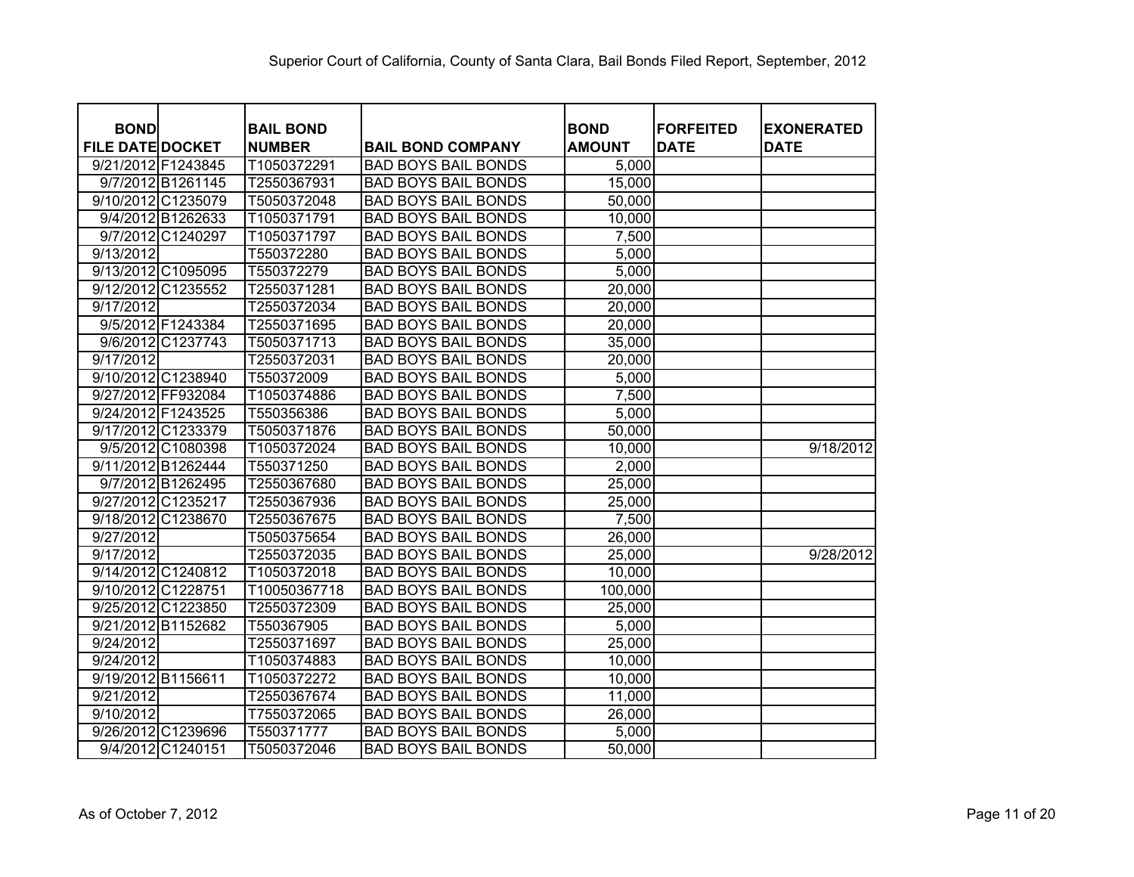| <b>BOND</b>             | <b>BAIL BOND</b> |                            | <b>BOND</b>   | <b>FORFEITED</b> | <b>EXONERATED</b> |
|-------------------------|------------------|----------------------------|---------------|------------------|-------------------|
| <b>FILE DATE DOCKET</b> | <b>NUMBER</b>    | <b>BAIL BOND COMPANY</b>   | <b>AMOUNT</b> | <b>DATE</b>      | <b>DATE</b>       |
| 9/21/2012 F1243845      | T1050372291      | <b>BAD BOYS BAIL BONDS</b> | 5,000         |                  |                   |
| 9/7/2012 B1261145       | T2550367931      | <b>BAD BOYS BAIL BONDS</b> | 15,000        |                  |                   |
| 9/10/2012 C1235079      | T5050372048      | <b>BAD BOYS BAIL BONDS</b> | 50,000        |                  |                   |
| 9/4/2012 B1262633       | T1050371791      | <b>BAD BOYS BAIL BONDS</b> | 10,000        |                  |                   |
| 9/7/2012 C1240297       | T1050371797      | <b>BAD BOYS BAIL BONDS</b> | 7,500         |                  |                   |
| 9/13/2012               | T550372280       | <b>BAD BOYS BAIL BONDS</b> | 5,000         |                  |                   |
| 9/13/2012 C1095095      | T550372279       | <b>BAD BOYS BAIL BONDS</b> | 5,000         |                  |                   |
| 9/12/2012 C1235552      | T2550371281      | <b>BAD BOYS BAIL BONDS</b> | 20,000        |                  |                   |
| 9/17/2012               | T2550372034      | <b>BAD BOYS BAIL BONDS</b> | 20,000        |                  |                   |
| 9/5/2012 F1243384       | T2550371695      | <b>BAD BOYS BAIL BONDS</b> | 20,000        |                  |                   |
| 9/6/2012 C1237743       | T5050371713      | <b>BAD BOYS BAIL BONDS</b> | 35,000        |                  |                   |
| 9/17/2012               | T2550372031      | <b>BAD BOYS BAIL BONDS</b> | 20,000        |                  |                   |
| 9/10/2012 C1238940      | T550372009       | <b>BAD BOYS BAIL BONDS</b> | 5,000         |                  |                   |
| 9/27/2012 FF932084      | T1050374886      | <b>BAD BOYS BAIL BONDS</b> | 7,500         |                  |                   |
| 9/24/2012 F1243525      | T550356386       | <b>BAD BOYS BAIL BONDS</b> | 5,000         |                  |                   |
| 9/17/2012 C1233379      | T5050371876      | <b>BAD BOYS BAIL BONDS</b> | 50,000        |                  |                   |
| 9/5/2012 C1080398       | T1050372024      | <b>BAD BOYS BAIL BONDS</b> | 10,000        |                  | 9/18/2012         |
| 9/11/2012 B1262444      | T550371250       | <b>BAD BOYS BAIL BONDS</b> | 2,000         |                  |                   |
| 9/7/2012 B1262495       | T2550367680      | <b>BAD BOYS BAIL BONDS</b> | 25,000        |                  |                   |
| 9/27/2012 C1235217      | T2550367936      | <b>BAD BOYS BAIL BONDS</b> | 25,000        |                  |                   |
| 9/18/2012 C1238670      | T2550367675      | <b>BAD BOYS BAIL BONDS</b> | 7,500         |                  |                   |
| 9/27/2012               | T5050375654      | <b>BAD BOYS BAIL BONDS</b> | 26,000        |                  |                   |
| 9/17/2012               | T2550372035      | <b>BAD BOYS BAIL BONDS</b> | 25,000        |                  | 9/28/2012         |
| 9/14/2012 C1240812      | T1050372018      | <b>BAD BOYS BAIL BONDS</b> | 10,000        |                  |                   |
| 9/10/2012 C1228751      | T10050367718     | <b>BAD BOYS BAIL BONDS</b> | 100,000       |                  |                   |
| 9/25/2012 C1223850      | T2550372309      | <b>BAD BOYS BAIL BONDS</b> | 25,000        |                  |                   |
| 9/21/2012 B1152682      | T550367905       | <b>BAD BOYS BAIL BONDS</b> | 5,000         |                  |                   |
| 9/24/2012               | T2550371697      | <b>BAD BOYS BAIL BONDS</b> | 25,000        |                  |                   |
| 9/24/2012               | T1050374883      | <b>BAD BOYS BAIL BONDS</b> | 10,000        |                  |                   |
| 9/19/2012 B1156611      | T1050372272      | <b>BAD BOYS BAIL BONDS</b> | 10,000        |                  |                   |
| 9/21/2012               | T2550367674      | <b>BAD BOYS BAIL BONDS</b> | 11,000        |                  |                   |
| 9/10/2012               | T7550372065      | <b>BAD BOYS BAIL BONDS</b> | 26,000        |                  |                   |
| 9/26/2012 C1239696      | T550371777       | <b>BAD BOYS BAIL BONDS</b> | 5,000         |                  |                   |
| 9/4/2012 C1240151       | T5050372046      | <b>BAD BOYS BAIL BONDS</b> | 50,000        |                  |                   |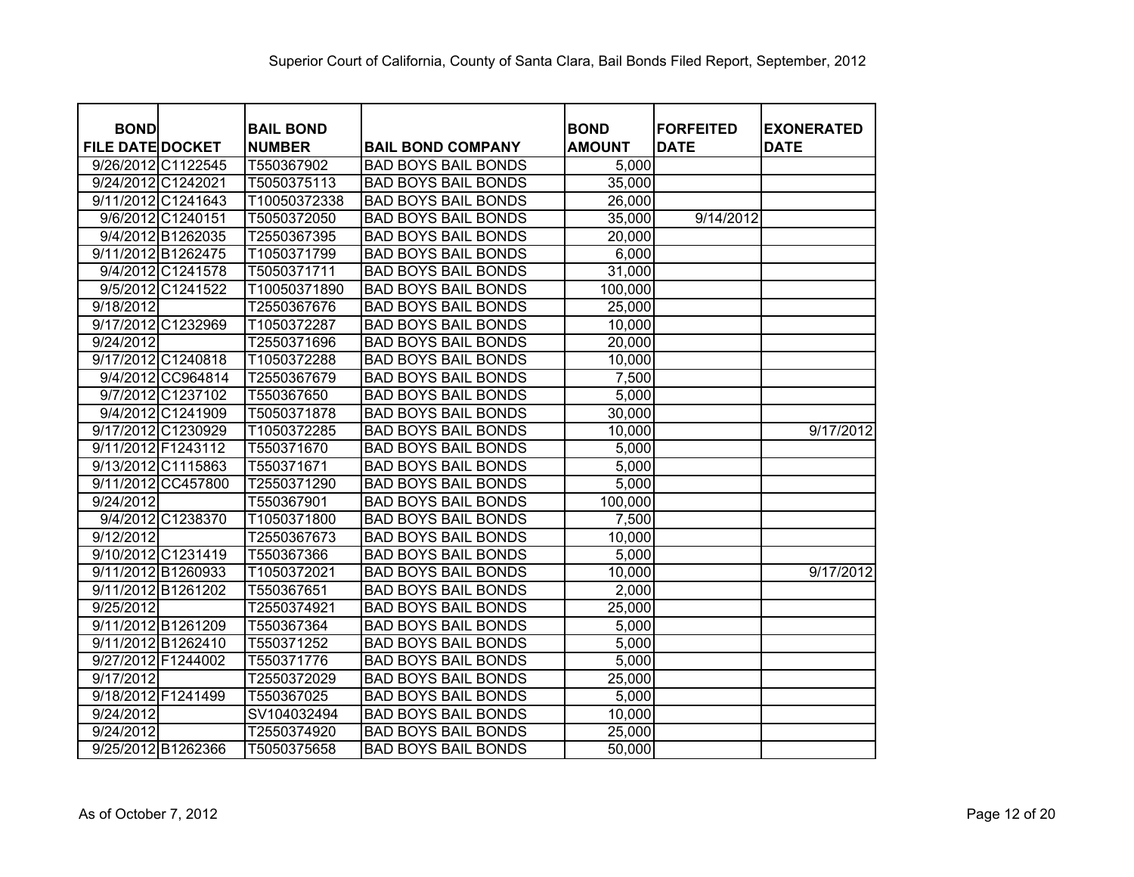| <b>BOND</b><br><b>FILE DATE DOCKET</b> |                    | <b>BAIL BOND</b><br><b>NUMBER</b> | <b>BAIL BOND COMPANY</b>   | <b>BOND</b><br><b>AMOUNT</b> | <b>FORFEITED</b><br><b>DATE</b> | <b>EXONERATED</b><br><b>DATE</b> |
|----------------------------------------|--------------------|-----------------------------------|----------------------------|------------------------------|---------------------------------|----------------------------------|
| 9/26/2012 C1122545                     |                    | T550367902                        | <b>BAD BOYS BAIL BONDS</b> | 5,000                        |                                 |                                  |
| 9/24/2012 C1242021                     |                    | T5050375113                       | <b>BAD BOYS BAIL BONDS</b> | 35,000                       |                                 |                                  |
| 9/11/2012 C1241643                     |                    | T10050372338                      | <b>BAD BOYS BAIL BONDS</b> | 26,000                       |                                 |                                  |
|                                        | 9/6/2012 C1240151  | T5050372050                       | <b>BAD BOYS BAIL BONDS</b> | 35,000                       | 9/14/2012                       |                                  |
|                                        | 9/4/2012 B1262035  | T2550367395                       | <b>BAD BOYS BAIL BONDS</b> | 20,000                       |                                 |                                  |
| 9/11/2012 B1262475                     |                    | T1050371799                       | <b>BAD BOYS BAIL BONDS</b> | 6,000                        |                                 |                                  |
|                                        | 9/4/2012 C1241578  | T5050371711                       | <b>BAD BOYS BAIL BONDS</b> | 31,000                       |                                 |                                  |
|                                        | 9/5/2012 C1241522  | T10050371890                      | <b>BAD BOYS BAIL BONDS</b> | 100,000                      |                                 |                                  |
| 9/18/2012                              |                    | T2550367676                       | <b>BAD BOYS BAIL BONDS</b> | 25,000                       |                                 |                                  |
| 9/17/2012 C1232969                     |                    | T1050372287                       | <b>BAD BOYS BAIL BONDS</b> | 10,000                       |                                 |                                  |
| 9/24/2012                              |                    | T2550371696                       | <b>BAD BOYS BAIL BONDS</b> | 20,000                       |                                 |                                  |
| 9/17/2012 C1240818                     |                    | T1050372288                       | <b>BAD BOYS BAIL BONDS</b> | 10,000                       |                                 |                                  |
|                                        | 9/4/2012 CC964814  | T2550367679                       | <b>BAD BOYS BAIL BONDS</b> | 7,500                        |                                 |                                  |
|                                        | 9/7/2012 C1237102  | T550367650                        | <b>BAD BOYS BAIL BONDS</b> | 5,000                        |                                 |                                  |
|                                        | 9/4/2012 C1241909  | T5050371878                       | <b>BAD BOYS BAIL BONDS</b> | 30,000                       |                                 |                                  |
| 9/17/2012 C1230929                     |                    | T1050372285                       | <b>BAD BOYS BAIL BONDS</b> | 10,000                       |                                 | 9/17/2012                        |
| 9/11/2012 F1243112                     |                    | T550371670                        | <b>BAD BOYS BAIL BONDS</b> | 5,000                        |                                 |                                  |
| 9/13/2012 C1115863                     |                    | T550371671                        | <b>BAD BOYS BAIL BONDS</b> | 5,000                        |                                 |                                  |
|                                        | 9/11/2012 CC457800 | T2550371290                       | <b>BAD BOYS BAIL BONDS</b> | 5,000                        |                                 |                                  |
| 9/24/2012                              |                    | T550367901                        | <b>BAD BOYS BAIL BONDS</b> | 100,000                      |                                 |                                  |
|                                        | 9/4/2012 C1238370  | T1050371800                       | <b>BAD BOYS BAIL BONDS</b> | 7,500                        |                                 |                                  |
| 9/12/2012                              |                    | T2550367673                       | <b>BAD BOYS BAIL BONDS</b> | 10,000                       |                                 |                                  |
| 9/10/2012 C1231419                     |                    | T550367366                        | <b>BAD BOYS BAIL BONDS</b> | 5,000                        |                                 |                                  |
| 9/11/2012 B1260933                     |                    | T1050372021                       | <b>BAD BOYS BAIL BONDS</b> | 10,000                       |                                 | 9/17/2012                        |
| 9/11/2012 B1261202                     |                    | T550367651                        | <b>BAD BOYS BAIL BONDS</b> | 2,000                        |                                 |                                  |
| $\overline{9/25/2012}$                 |                    | T2550374921                       | <b>BAD BOYS BAIL BONDS</b> | 25,000                       |                                 |                                  |
| 9/11/2012 B1261209                     |                    | T550367364                        | <b>BAD BOYS BAIL BONDS</b> | 5,000                        |                                 |                                  |
| 9/11/2012 B1262410                     |                    | T550371252                        | <b>BAD BOYS BAIL BONDS</b> | 5,000                        |                                 |                                  |
| 9/27/2012 F1244002                     |                    | T550371776                        | <b>BAD BOYS BAIL BONDS</b> | 5,000                        |                                 |                                  |
| 9/17/2012                              |                    | T2550372029                       | <b>BAD BOYS BAIL BONDS</b> | 25,000                       |                                 |                                  |
| 9/18/2012 F1241499                     |                    | T550367025                        | <b>BAD BOYS BAIL BONDS</b> | 5,000                        |                                 |                                  |
| 9/24/2012                              |                    | SV104032494                       | <b>BAD BOYS BAIL BONDS</b> | 10,000                       |                                 |                                  |
| 9/24/2012                              |                    | T2550374920                       | <b>BAD BOYS BAIL BONDS</b> | 25,000                       |                                 |                                  |
| 9/25/2012 B1262366                     |                    | T5050375658                       | <b>BAD BOYS BAIL BONDS</b> | 50,000                       |                                 |                                  |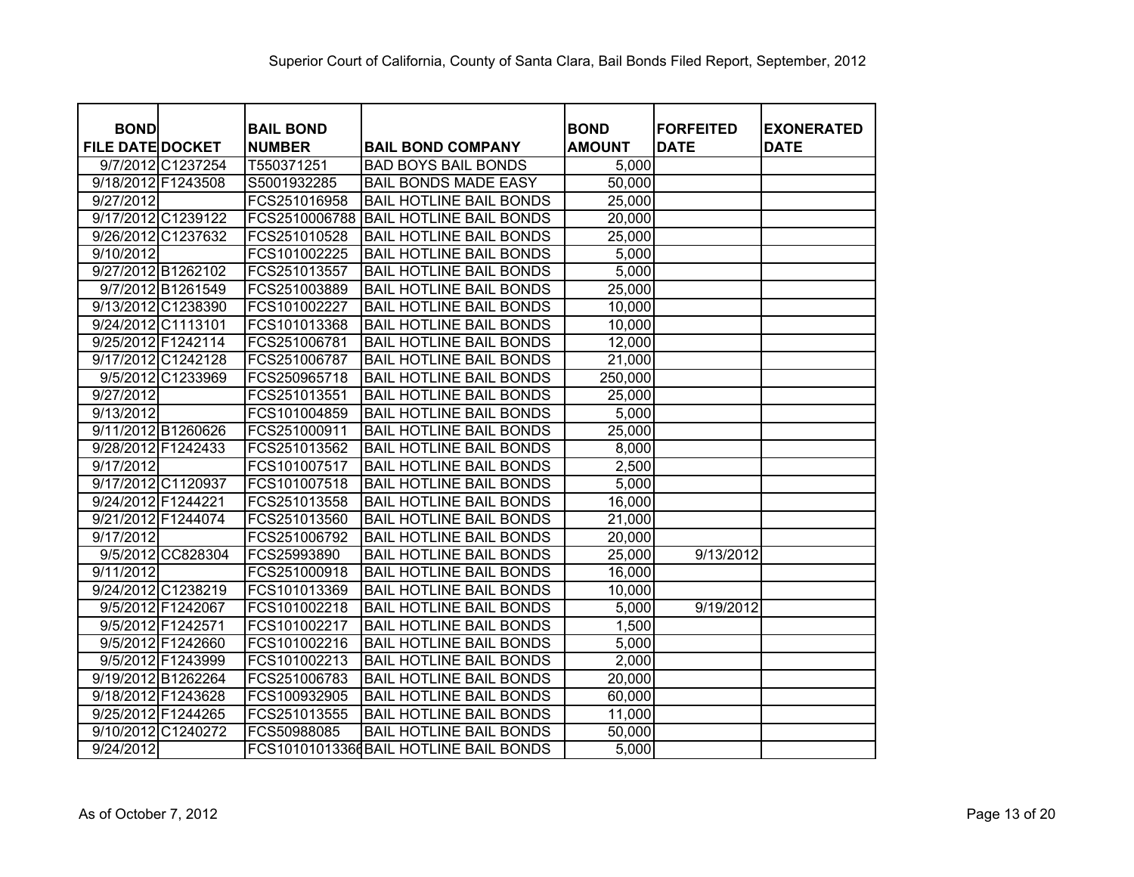|                                        |                   |                                   |                                       | <b>BOND</b>   | <b>FORFEITED</b> |                                  |
|----------------------------------------|-------------------|-----------------------------------|---------------------------------------|---------------|------------------|----------------------------------|
| <b>BOND</b><br><b>FILE DATE DOCKET</b> |                   | <b>BAIL BOND</b><br><b>NUMBER</b> | <b>BAIL BOND COMPANY</b>              | <b>AMOUNT</b> | <b>DATE</b>      | <b>EXONERATED</b><br><b>DATE</b> |
|                                        | 9/7/2012 C1237254 | T550371251                        | <b>BAD BOYS BAIL BONDS</b>            | 5,000         |                  |                                  |
| 9/18/2012 F1243508                     |                   | S5001932285                       | <b>BAIL BONDS MADE EASY</b>           | 50,000        |                  |                                  |
| 9/27/2012                              |                   | FCS251016958                      | <b>BAIL HOTLINE BAIL BONDS</b>        | 25,000        |                  |                                  |
| 9/17/2012 C1239122                     |                   | FCS2510006788                     | <b>BAIL HOTLINE BAIL BONDS</b>        | 20,000        |                  |                                  |
| 9/26/2012 C1237632                     |                   | FCS251010528                      | <b>BAIL HOTLINE BAIL BONDS</b>        | 25,000        |                  |                                  |
| 9/10/2012                              |                   | FCS101002225                      | <b>BAIL HOTLINE BAIL BONDS</b>        | 5,000         |                  |                                  |
| 9/27/2012 B1262102                     |                   | FCS251013557                      | <b>BAIL HOTLINE BAIL BONDS</b>        | 5,000         |                  |                                  |
|                                        | 9/7/2012 B1261549 | FCS251003889                      | <b>BAIL HOTLINE BAIL BONDS</b>        | 25,000        |                  |                                  |
| 9/13/2012 C1238390                     |                   | FCS101002227                      | <b>BAIL HOTLINE BAIL BONDS</b>        | 10,000        |                  |                                  |
| 9/24/2012 C1113101                     |                   | FCS101013368                      | <b>BAIL HOTLINE BAIL BONDS</b>        | 10,000        |                  |                                  |
| 9/25/2012 F1242114                     |                   | FCS251006781                      | <b>BAIL HOTLINE BAIL BONDS</b>        | 12,000        |                  |                                  |
| 9/17/2012 C1242128                     |                   | FCS251006787                      | <b>BAIL HOTLINE BAIL BONDS</b>        | 21,000        |                  |                                  |
|                                        | 9/5/2012 C1233969 | FCS250965718                      | <b>BAIL HOTLINE BAIL BONDS</b>        | 250,000       |                  |                                  |
| 9/27/2012                              |                   | FCS251013551                      | <b>BAIL HOTLINE BAIL BONDS</b>        | 25,000        |                  |                                  |
| 9/13/2012                              |                   | FCS101004859                      | <b>BAIL HOTLINE BAIL BONDS</b>        | 5,000         |                  |                                  |
| 9/11/2012 B1260626                     |                   | FCS251000911                      | <b>BAIL HOTLINE BAIL BONDS</b>        | 25,000        |                  |                                  |
| 9/28/2012 F1242433                     |                   | FCS251013562                      | <b>BAIL HOTLINE BAIL BONDS</b>        | 8,000         |                  |                                  |
| 9/17/2012                              |                   | FCS101007517                      | <b>BAIL HOTLINE BAIL BONDS</b>        | 2,500         |                  |                                  |
| 9/17/2012 C1120937                     |                   | FCS101007518                      | <b>BAIL HOTLINE BAIL BONDS</b>        | 5,000         |                  |                                  |
| 9/24/2012 F1244221                     |                   | FCS251013558                      | <b>BAIL HOTLINE BAIL BONDS</b>        | 16,000        |                  |                                  |
| 9/21/2012 F1244074                     |                   | FCS251013560                      | <b>BAIL HOTLINE BAIL BONDS</b>        | 21,000        |                  |                                  |
| 9/17/2012                              |                   | FCS251006792                      | <b>BAIL HOTLINE BAIL BONDS</b>        | 20,000        |                  |                                  |
|                                        | 9/5/2012 CC828304 | FCS25993890                       | <b>BAIL HOTLINE BAIL BONDS</b>        | 25,000        | 9/13/2012        |                                  |
| 9/11/2012                              |                   | FCS251000918                      | <b>BAIL HOTLINE BAIL BONDS</b>        | 16,000        |                  |                                  |
| 9/24/2012 C1238219                     |                   | FCS101013369                      | <b>BAIL HOTLINE BAIL BONDS</b>        | 10,000        |                  |                                  |
|                                        | 9/5/2012 F1242067 | FCS101002218                      | <b>BAIL HOTLINE BAIL BONDS</b>        | 5,000         | 9/19/2012        |                                  |
|                                        | 9/5/2012 F1242571 | FCS101002217                      | <b>BAIL HOTLINE BAIL BONDS</b>        | 1,500         |                  |                                  |
|                                        | 9/5/2012 F1242660 | FCS101002216                      | <b>BAIL HOTLINE BAIL BONDS</b>        | 5,000         |                  |                                  |
|                                        | 9/5/2012 F1243999 | FCS101002213                      | <b>BAIL HOTLINE BAIL BONDS</b>        | 2,000         |                  |                                  |
| 9/19/2012 B1262264                     |                   | FCS251006783                      | <b>BAIL HOTLINE BAIL BONDS</b>        | 20,000        |                  |                                  |
| 9/18/2012 F1243628                     |                   | FCS100932905                      | <b>BAIL HOTLINE BAIL BONDS</b>        | 60,000        |                  |                                  |
| 9/25/2012 F1244265                     |                   | FCS251013555                      | <b>BAIL HOTLINE BAIL BONDS</b>        | 11,000        |                  |                                  |
| 9/10/2012 C1240272                     |                   | FCS50988085                       | <b>BAIL HOTLINE BAIL BONDS</b>        | 50,000        |                  |                                  |
| 9/24/2012                              |                   |                                   | FCS10101013366BAIL HOTLINE BAIL BONDS | 5,000         |                  |                                  |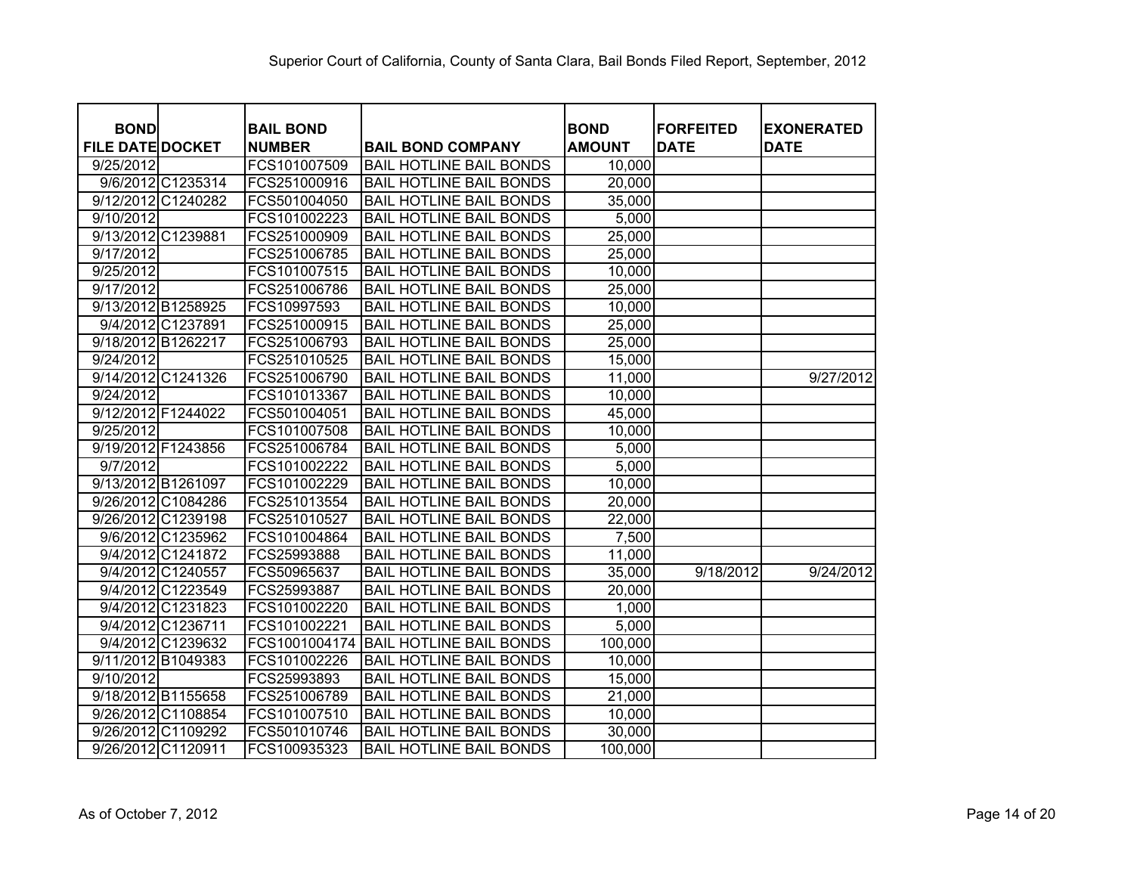| <b>BOND</b><br><b>FILE DATE DOCKET</b> | <b>BAIL BOND</b><br><b>NUMBER</b> | <b>BAIL BOND COMPANY</b>       | <b>BOND</b><br><b>AMOUNT</b> | <b>FORFEITED</b><br><b>DATE</b> | <b>EXONERATED</b><br><b>DATE</b> |
|----------------------------------------|-----------------------------------|--------------------------------|------------------------------|---------------------------------|----------------------------------|
| 9/25/2012                              | FCS101007509                      | <b>BAIL HOTLINE BAIL BONDS</b> | 10,000                       |                                 |                                  |
| 9/6/2012 C1235314                      | FCS251000916                      | <b>BAIL HOTLINE BAIL BONDS</b> | 20,000                       |                                 |                                  |
| 9/12/2012 C1240282                     | FCS501004050                      | <b>BAIL HOTLINE BAIL BONDS</b> | 35,000                       |                                 |                                  |
| 9/10/2012                              | FCS101002223                      | <b>BAIL HOTLINE BAIL BONDS</b> | 5,000                        |                                 |                                  |
| 9/13/2012 C1239881                     | FCS251000909                      | <b>BAIL HOTLINE BAIL BONDS</b> | 25,000                       |                                 |                                  |
| 9/17/2012                              | FCS251006785                      | <b>BAIL HOTLINE BAIL BONDS</b> | 25,000                       |                                 |                                  |
| 9/25/2012                              | FCS101007515                      | <b>BAIL HOTLINE BAIL BONDS</b> | 10,000                       |                                 |                                  |
| 9/17/2012                              | FCS251006786                      | <b>BAIL HOTLINE BAIL BONDS</b> | 25,000                       |                                 |                                  |
| 9/13/2012 B1258925                     | FCS10997593                       | <b>BAIL HOTLINE BAIL BONDS</b> | 10,000                       |                                 |                                  |
| 9/4/2012 C1237891                      | FCS251000915                      | <b>BAIL HOTLINE BAIL BONDS</b> | 25,000                       |                                 |                                  |
| 9/18/2012 B1262217                     | FCS251006793                      | <b>BAIL HOTLINE BAIL BONDS</b> | 25,000                       |                                 |                                  |
| 9/24/2012                              | FCS251010525                      | <b>BAIL HOTLINE BAIL BONDS</b> | 15,000                       |                                 |                                  |
| 9/14/2012 C1241326                     | FCS251006790                      | <b>BAIL HOTLINE BAIL BONDS</b> | 11,000                       |                                 | 9/27/2012                        |
| 9/24/2012                              | FCS101013367                      | <b>BAIL HOTLINE BAIL BONDS</b> | 10,000                       |                                 |                                  |
| 9/12/2012 F1244022                     | FCS501004051                      | <b>BAIL HOTLINE BAIL BONDS</b> | 45,000                       |                                 |                                  |
| 9/25/2012                              | FCS101007508                      | <b>BAIL HOTLINE BAIL BONDS</b> | 10,000                       |                                 |                                  |
| 9/19/2012 F1243856                     | FCS251006784                      | <b>BAIL HOTLINE BAIL BONDS</b> | 5,000                        |                                 |                                  |
| 9/7/2012                               | FCS101002222                      | <b>BAIL HOTLINE BAIL BONDS</b> | 5,000                        |                                 |                                  |
| 9/13/2012 B1261097                     | FCS101002229                      | <b>BAIL HOTLINE BAIL BONDS</b> | 10,000                       |                                 |                                  |
| 9/26/2012 C1084286                     | FCS251013554                      | <b>BAIL HOTLINE BAIL BONDS</b> | 20,000                       |                                 |                                  |
| 9/26/2012 C1239198                     | FCS251010527                      | <b>BAIL HOTLINE BAIL BONDS</b> | 22,000                       |                                 |                                  |
| 9/6/2012 C1235962                      | FCS101004864                      | <b>BAIL HOTLINE BAIL BONDS</b> | 7,500                        |                                 |                                  |
| 9/4/2012 C1241872                      | FCS25993888                       | <b>BAIL HOTLINE BAIL BONDS</b> | 11,000                       |                                 |                                  |
| 9/4/2012 C1240557                      | FCS50965637                       | <b>BAIL HOTLINE BAIL BONDS</b> | 35,000                       | 9/18/2012                       | 9/24/2012                        |
| 9/4/2012 C1223549                      | FCS25993887                       | <b>BAIL HOTLINE BAIL BONDS</b> | 20,000                       |                                 |                                  |
| 9/4/2012 C1231823                      | FCS101002220                      | <b>BAIL HOTLINE BAIL BONDS</b> | 1,000                        |                                 |                                  |
| 9/4/2012 C1236711                      | FCS101002221                      | <b>BAIL HOTLINE BAIL BONDS</b> | 5,000                        |                                 |                                  |
| 9/4/2012 C1239632                      | FCS1001004174                     | <b>BAIL HOTLINE BAIL BONDS</b> | 100,000                      |                                 |                                  |
| 9/11/2012 B1049383                     | FCS101002226                      | <b>BAIL HOTLINE BAIL BONDS</b> | 10,000                       |                                 |                                  |
| 9/10/2012                              | FCS25993893                       | <b>BAIL HOTLINE BAIL BONDS</b> | 15,000                       |                                 |                                  |
| 9/18/2012 B1155658                     | FCS251006789                      | <b>BAIL HOTLINE BAIL BONDS</b> | 21,000                       |                                 |                                  |
| 9/26/2012 C1108854                     | FCS101007510                      | <b>BAIL HOTLINE BAIL BONDS</b> | 10,000                       |                                 |                                  |
| 9/26/2012 C1109292                     | FCS501010746                      | <b>BAIL HOTLINE BAIL BONDS</b> | 30,000                       |                                 |                                  |
| 9/26/2012 C1120911                     | FCS100935323                      | <b>BAIL HOTLINE BAIL BONDS</b> | 100,000                      |                                 |                                  |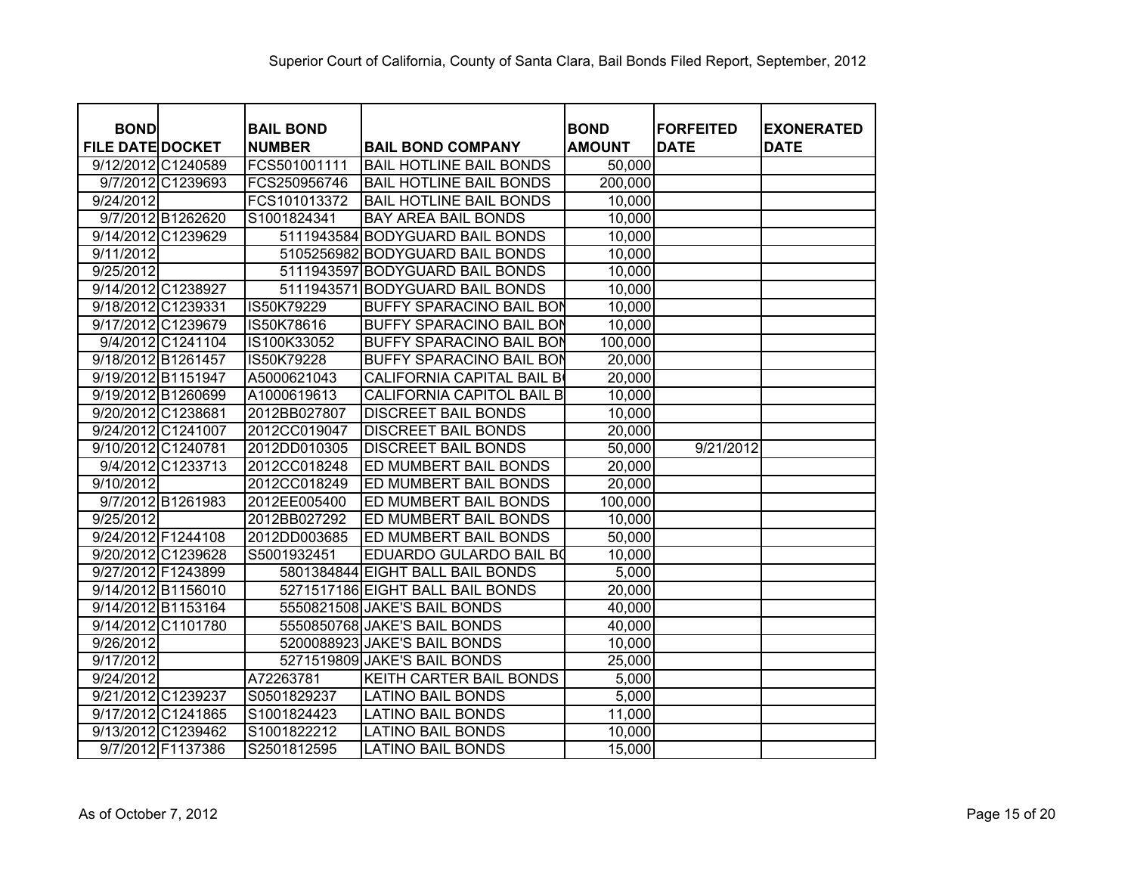| <b>BOND</b>             |                   | <b>BAIL BOND</b> |                                  | <b>BOND</b>   | <b>FORFEITED</b> | <b>EXONERATED</b> |
|-------------------------|-------------------|------------------|----------------------------------|---------------|------------------|-------------------|
| <b>FILE DATE DOCKET</b> |                   | <b>NUMBER</b>    | <b>BAIL BOND COMPANY</b>         | <b>AMOUNT</b> | <b>DATE</b>      | <b>DATE</b>       |
| 9/12/2012 C1240589      |                   | FCS501001111     | <b>BAIL HOTLINE BAIL BONDS</b>   | 50,000        |                  |                   |
|                         | 9/7/2012 C1239693 | FCS250956746     | <b>BAIL HOTLINE BAIL BONDS</b>   | 200,000       |                  |                   |
| 9/24/2012               |                   | FCS101013372     | <b>BAIL HOTLINE BAIL BONDS</b>   | 10,000        |                  |                   |
|                         | 9/7/2012 B1262620 | S1001824341      | <b>BAY AREA BAIL BONDS</b>       | 10,000        |                  |                   |
| 9/14/2012 C1239629      |                   |                  | 5111943584 BODYGUARD BAIL BONDS  | 10,000        |                  |                   |
| 9/11/2012               |                   |                  | 5105256982 BODYGUARD BAIL BONDS  | 10,000        |                  |                   |
| 9/25/2012               |                   |                  | 5111943597 BODYGUARD BAIL BONDS  | 10,000        |                  |                   |
| 9/14/2012 C1238927      |                   | 5111943571       | <b>BODYGUARD BAIL BONDS</b>      | 10,000        |                  |                   |
| 9/18/2012 C1239331      |                   | IS50K79229       | <b>BUFFY SPARACINO BAIL BON</b>  | 10,000        |                  |                   |
| 9/17/2012 C1239679      |                   | IS50K78616       | <b>BUFFY SPARACINO BAIL BON</b>  | 10,000        |                  |                   |
|                         | 9/4/2012 C1241104 | IS100K33052      | <b>BUFFY SPARACINO BAIL BON</b>  | 100,000       |                  |                   |
| 9/18/2012 B1261457      |                   | IS50K79228       | <b>BUFFY SPARACINO BAIL BON</b>  | 20,000        |                  |                   |
| 9/19/2012 B1151947      |                   | A5000621043      | <b>CALIFORNIA CAPITAL BAIL B</b> | 20,000        |                  |                   |
| 9/19/2012 B1260699      |                   | A1000619613      | <b>CALIFORNIA CAPITOL BAIL B</b> | 10,000        |                  |                   |
| 9/20/2012 C1238681      |                   | 2012BB027807     | <b>DISCREET BAIL BONDS</b>       | 10,000        |                  |                   |
| 9/24/2012 C1241007      |                   | 2012CC019047     | <b>DISCREET BAIL BONDS</b>       | 20,000        |                  |                   |
| 9/10/2012 C1240781      |                   | 2012DD010305     | <b>DISCREET BAIL BONDS</b>       | 50,000        | 9/21/2012        |                   |
|                         | 9/4/2012 C1233713 | 2012CC018248     | ED MUMBERT BAIL BONDS            | 20,000        |                  |                   |
| 9/10/2012               |                   | 2012CC018249     | ED MUMBERT BAIL BONDS            | 20,000        |                  |                   |
|                         | 9/7/2012 B1261983 | 2012EE005400     | ED MUMBERT BAIL BONDS            | 100,000       |                  |                   |
| 9/25/2012               |                   | 2012BB027292     | ED MUMBERT BAIL BONDS            | 10,000        |                  |                   |
| 9/24/2012 F1244108      |                   | 2012DD003685     | ED MUMBERT BAIL BONDS            | 50,000        |                  |                   |
| 9/20/2012 C1239628      |                   | S5001932451      | EDUARDO GULARDO BAIL BO          | 10,000        |                  |                   |
| 9/27/2012 F1243899      |                   |                  | 5801384844 EIGHT BALL BAIL BONDS | 5,000         |                  |                   |
| 9/14/2012 B1156010      |                   |                  | 5271517186 EIGHT BALL BAIL BONDS | 20,000        |                  |                   |
| 9/14/2012 B1153164      |                   |                  | 5550821508 JAKE'S BAIL BONDS     | 40,000        |                  |                   |
| 9/14/2012 C1101780      |                   |                  | 5550850768 JAKE'S BAIL BONDS     | 40,000        |                  |                   |
| 9/26/2012               |                   |                  | 5200088923 JAKE'S BAIL BONDS     | 10,000        |                  |                   |
| 9/17/2012               |                   |                  | 5271519809 JAKE'S BAIL BONDS     | 25,000        |                  |                   |
| 9/24/2012               |                   | A72263781        | KEITH CARTER BAIL BONDS          | 5,000         |                  |                   |
| 9/21/2012 C1239237      |                   | S0501829237      | <b>LATINO BAIL BONDS</b>         | 5,000         |                  |                   |
| 9/17/2012 C1241865      |                   | S1001824423      | <b>LATINO BAIL BONDS</b>         | 11,000        |                  |                   |
| 9/13/2012 C1239462      |                   | S1001822212      | <b>LATINO BAIL BONDS</b>         | 10,000        |                  |                   |
|                         | 9/7/2012 F1137386 | S2501812595      | <b>LATINO BAIL BONDS</b>         | 15,000        |                  |                   |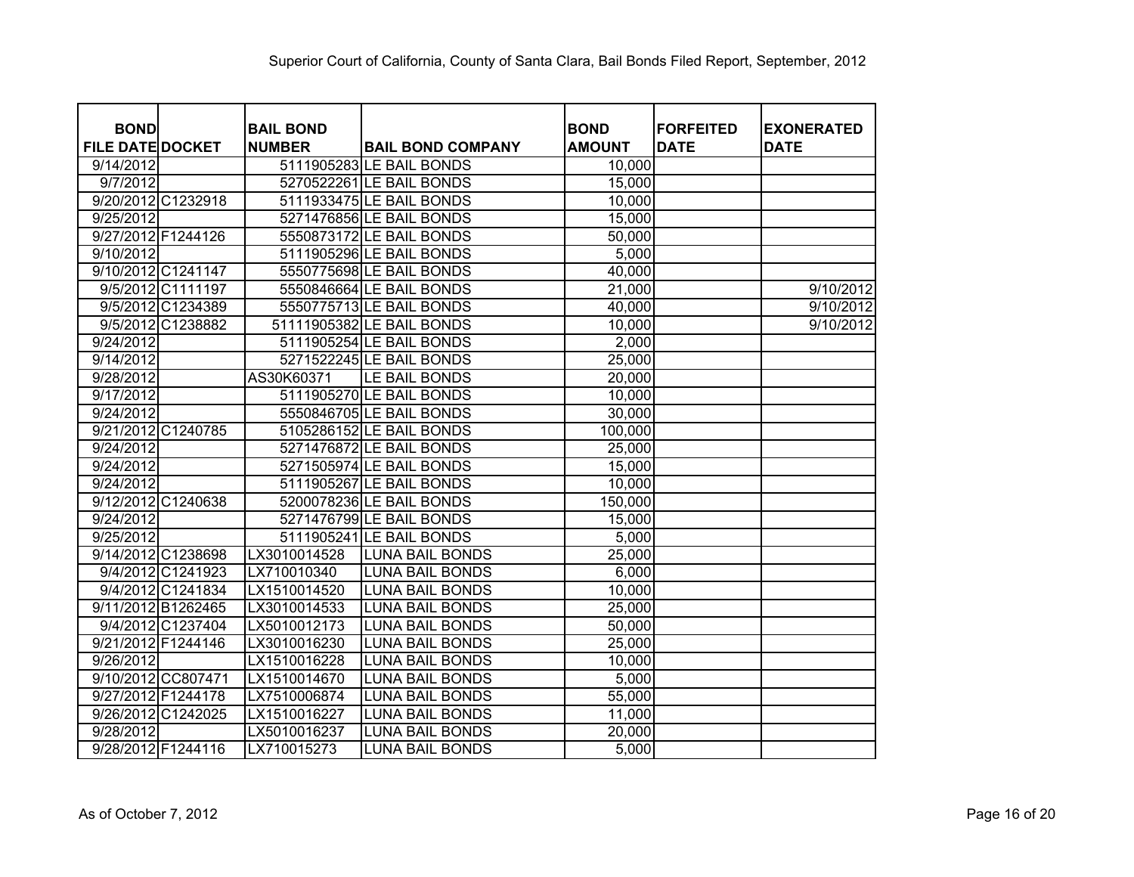| <b>BOND</b>             |                                   |                           | <b>BOND</b>   | <b>FORFEITED</b> |                                  |
|-------------------------|-----------------------------------|---------------------------|---------------|------------------|----------------------------------|
| <b>FILE DATE DOCKET</b> | <b>BAIL BOND</b><br><b>NUMBER</b> | <b>BAIL BOND COMPANY</b>  | <b>AMOUNT</b> | <b>DATE</b>      | <b>EXONERATED</b><br><b>DATE</b> |
| 9/14/2012               |                                   | 5111905283 LE BAIL BONDS  | 10,000        |                  |                                  |
| 9/7/2012                |                                   | 5270522261 LE BAIL BONDS  | 15,000        |                  |                                  |
| 9/20/2012 C1232918      |                                   | 5111933475 LE BAIL BONDS  | 10,000        |                  |                                  |
| 9/25/2012               |                                   | 5271476856 LE BAIL BONDS  | 15,000        |                  |                                  |
| 9/27/2012 F1244126      |                                   | 5550873172 LE BAIL BONDS  | 50,000        |                  |                                  |
|                         |                                   |                           |               |                  |                                  |
| 9/10/2012               |                                   | 5111905296 LE BAIL BONDS  | 5,000         |                  |                                  |
| 9/10/2012 C1241147      |                                   | 5550775698 LE BAIL BONDS  | 40,000        |                  |                                  |
| 9/5/2012 C1111197       |                                   | 5550846664 LE BAIL BONDS  | 21,000        |                  | 9/10/2012                        |
| 9/5/2012 C1234389       |                                   | 5550775713 LE BAIL BONDS  | 40,000        |                  | 9/10/2012                        |
| 9/5/2012 C1238882       |                                   | 51111905382 LE BAIL BONDS | 10,000        |                  | 9/10/2012                        |
| 9/24/2012               |                                   | 5111905254 LE BAIL BONDS  | 2,000         |                  |                                  |
| 9/14/2012               |                                   | 5271522245 LE BAIL BONDS  | 25,000        |                  |                                  |
| 9/28/2012               | AS30K60371                        | LE BAIL BONDS             | 20,000        |                  |                                  |
| 9/17/2012               |                                   | 5111905270 LE BAIL BONDS  | 10,000        |                  |                                  |
| 9/24/2012               |                                   | 5550846705 LE BAIL BONDS  | 30,000        |                  |                                  |
| 9/21/2012 C1240785      |                                   | 5105286152 LE BAIL BONDS  | 100,000       |                  |                                  |
| 9/24/2012               |                                   | 5271476872 LE BAIL BONDS  | 25,000        |                  |                                  |
| 9/24/2012               |                                   | 5271505974 LE BAIL BONDS  | 15,000        |                  |                                  |
| 9/24/2012               |                                   | 5111905267 LE BAIL BONDS  | 10,000        |                  |                                  |
| 9/12/2012 C1240638      |                                   | 5200078236 LE BAIL BONDS  | 150,000       |                  |                                  |
| 9/24/2012               |                                   | 5271476799 LE BAIL BONDS  | 15,000        |                  |                                  |
| 9/25/2012               |                                   | 5111905241 LE BAIL BONDS  | 5,000         |                  |                                  |
| 9/14/2012 C1238698      | LX3010014528                      | <b>LUNA BAIL BONDS</b>    | 25,000        |                  |                                  |
| 9/4/2012 C1241923       | LX710010340                       | <b>LUNA BAIL BONDS</b>    | 6,000         |                  |                                  |
| 9/4/2012 C1241834       | LX1510014520                      | LUNA BAIL BONDS           | 10,000        |                  |                                  |
| 9/11/2012 B1262465      | LX3010014533                      | <b>LUNA BAIL BONDS</b>    | 25,000        |                  |                                  |
| 9/4/2012 C1237404       | LX5010012173                      | <b>LUNA BAIL BONDS</b>    | 50,000        |                  |                                  |
| 9/21/2012 F1244146      | LX3010016230                      | <b>LUNA BAIL BONDS</b>    | 25,000        |                  |                                  |
| 9/26/2012               | LX1510016228                      | <b>LUNA BAIL BONDS</b>    | 10,000        |                  |                                  |
| 9/10/2012 CC807471      | LX1510014670                      | <b>LUNA BAIL BONDS</b>    | 5,000         |                  |                                  |
| 9/27/2012 F1244178      | LX7510006874                      | <b>LUNA BAIL BONDS</b>    | 55,000        |                  |                                  |
| 9/26/2012 C1242025      | LX1510016227                      | <b>LUNA BAIL BONDS</b>    | 11,000        |                  |                                  |
| $\overline{9/28/2012}$  | LX5010016237                      | <b>LUNA BAIL BONDS</b>    | 20,000        |                  |                                  |
| 9/28/2012 F1244116      | LX710015273                       | LUNA BAIL BONDS           | 5,000         |                  |                                  |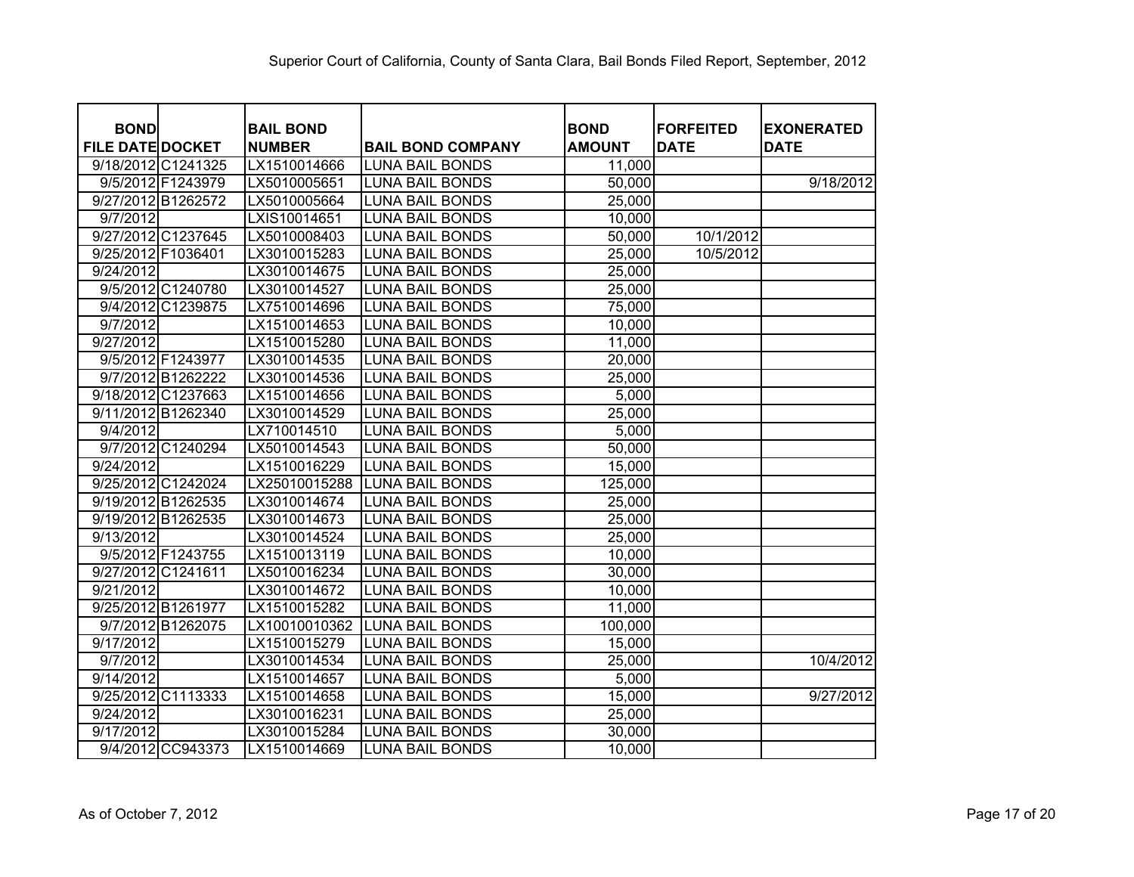| <b>BOND</b>             | <b>BAIL BOND</b> |                          | <b>BOND</b>   | <b>FORFEITED</b> | <b>EXONERATED</b> |
|-------------------------|------------------|--------------------------|---------------|------------------|-------------------|
| <b>FILE DATE DOCKET</b> | <b>NUMBER</b>    | <b>BAIL BOND COMPANY</b> | <b>AMOUNT</b> | <b>DATE</b>      | <b>DATE</b>       |
| 9/18/2012 C1241325      | LX1510014666     | <b>LUNA BAIL BONDS</b>   | 11,000        |                  |                   |
| 9/5/2012 F1243979       | LX5010005651     | <b>LUNA BAIL BONDS</b>   | 50,000        |                  | 9/18/2012         |
| 9/27/2012 B1262572      | LX5010005664     | <b>LUNA BAIL BONDS</b>   | 25,000        |                  |                   |
| 9/7/2012                | LXIS10014651     | <b>LUNA BAIL BONDS</b>   | 10,000        |                  |                   |
| 9/27/2012 C1237645      | LX5010008403     | <b>LUNA BAIL BONDS</b>   | 50,000        | 10/1/2012        |                   |
| 9/25/2012 F1036401      | LX3010015283     | <b>LUNA BAIL BONDS</b>   | 25,000        | 10/5/2012        |                   |
| 9/24/2012               | LX3010014675     | <b>LUNA BAIL BONDS</b>   | 25,000        |                  |                   |
| 9/5/2012 C1240780       | LX3010014527     | <b>LUNA BAIL BONDS</b>   | 25,000        |                  |                   |
| 9/4/2012 C1239875       | LX7510014696     | <b>LUNA BAIL BONDS</b>   | 75,000        |                  |                   |
| 9/7/2012                | LX1510014653     | <b>LUNA BAIL BONDS</b>   | 10,000        |                  |                   |
| 9/27/2012               | LX1510015280     | <b>LUNA BAIL BONDS</b>   | 11,000        |                  |                   |
| 9/5/2012 F1243977       | LX3010014535     | <b>LUNA BAIL BONDS</b>   | 20,000        |                  |                   |
| 9/7/2012 B1262222       | LX3010014536     | <b>LUNA BAIL BONDS</b>   | 25,000        |                  |                   |
| 9/18/2012 C1237663      | LX1510014656     | <b>LUNA BAIL BONDS</b>   | 5,000         |                  |                   |
| 9/11/2012 B1262340      | LX3010014529     | <b>LUNA BAIL BONDS</b>   | 25,000        |                  |                   |
| 9/4/2012                | LX710014510      | <b>LUNA BAIL BONDS</b>   | 5,000         |                  |                   |
| 9/7/2012 C1240294       | LX5010014543     | <b>LUNA BAIL BONDS</b>   | 50,000        |                  |                   |
| 9/24/2012               | LX1510016229     | <b>LUNA BAIL BONDS</b>   | 15,000        |                  |                   |
| 9/25/2012 C1242024      | LX25010015288    | <b>LUNA BAIL BONDS</b>   | 125,000       |                  |                   |
| 9/19/2012 B1262535      | LX3010014674     | <b>LUNA BAIL BONDS</b>   | 25,000        |                  |                   |
| 9/19/2012 B1262535      | LX3010014673     | <b>LUNA BAIL BONDS</b>   | 25,000        |                  |                   |
| 9/13/2012               | LX3010014524     | <b>LUNA BAIL BONDS</b>   | 25,000        |                  |                   |
| 9/5/2012 F1243755       | LX1510013119     | <b>LUNA BAIL BONDS</b>   | 10,000        |                  |                   |
| 9/27/2012 C1241611      | LX5010016234     | <b>LUNA BAIL BONDS</b>   | 30,000        |                  |                   |
| 9/21/2012               | LX3010014672     | <b>LUNA BAIL BONDS</b>   | 10,000        |                  |                   |
| 9/25/2012 B1261977      | LX1510015282     | <b>LUNA BAIL BONDS</b>   | 11,000        |                  |                   |
| 9/7/2012 B1262075       | LX10010010362    | <b>LUNA BAIL BONDS</b>   | 100,000       |                  |                   |
| 9/17/2012               | LX1510015279     | <b>LUNA BAIL BONDS</b>   | 15,000        |                  |                   |
| 9/7/2012                | LX3010014534     | <b>LUNA BAIL BONDS</b>   | 25,000        |                  | 10/4/2012         |
| 9/14/2012               | LX1510014657     | <b>LUNA BAIL BONDS</b>   | 5,000         |                  |                   |
| 9/25/2012 C1113333      | LX1510014658     | <b>LUNA BAIL BONDS</b>   | 15,000        |                  | 9/27/2012         |
| 9/24/2012               | LX3010016231     | <b>LUNA BAIL BONDS</b>   | 25,000        |                  |                   |
| 9/17/2012               | LX3010015284     | <b>LUNA BAIL BONDS</b>   | 30,000        |                  |                   |
| 9/4/2012 CC943373       | LX1510014669     | <b>LUNA BAIL BONDS</b>   | 10,000        |                  |                   |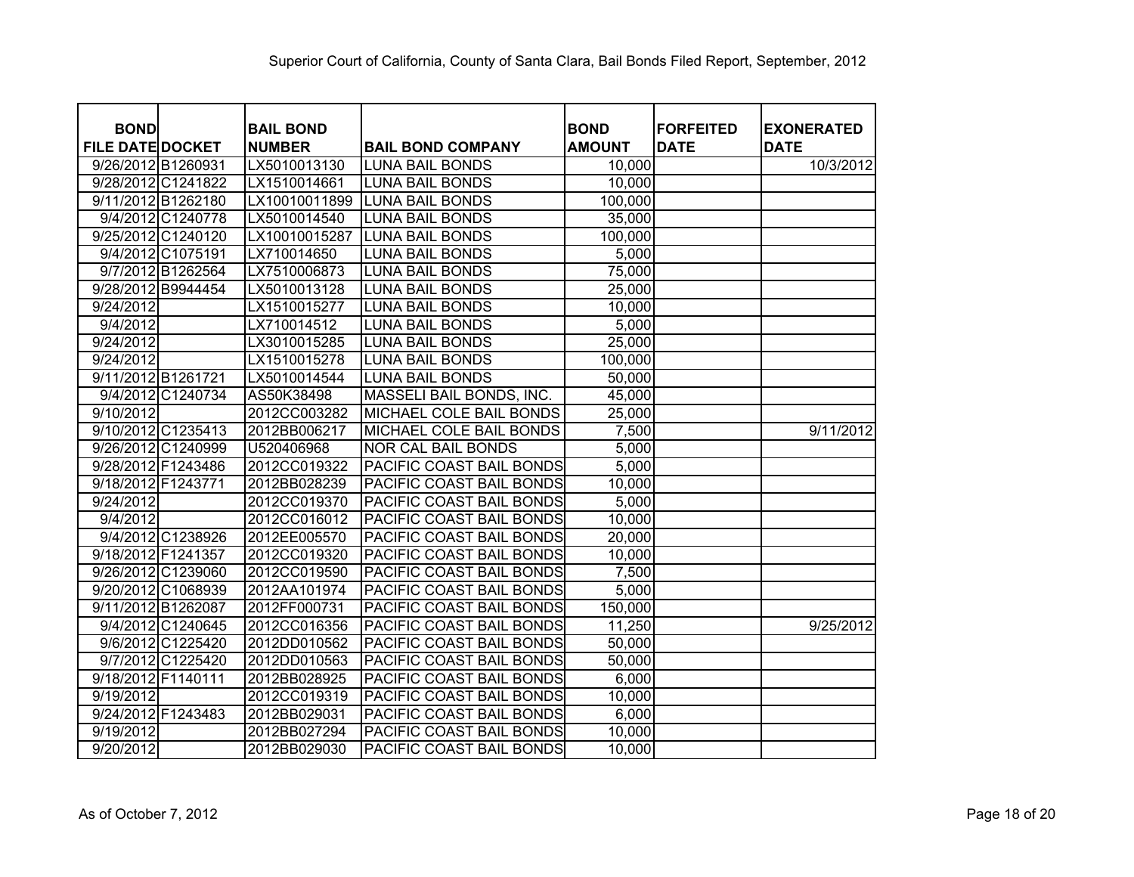| <b>BOND</b><br><b>FILE DATE DOCKET</b> | <b>BAIL BOND</b><br><b>NUMBER</b> | <b>BAIL BOND COMPANY</b> | <b>BOND</b><br><b>AMOUNT</b> | <b>FORFEITED</b><br><b>DATE</b> | <b>EXONERATED</b><br><b>DATE</b> |
|----------------------------------------|-----------------------------------|--------------------------|------------------------------|---------------------------------|----------------------------------|
| 9/26/2012 B1260931                     | LX5010013130                      | <b>LUNA BAIL BONDS</b>   | 10,000                       |                                 | 10/3/2012                        |
| 9/28/2012 C1241822                     | LX1510014661                      | <b>LUNA BAIL BONDS</b>   | 10,000                       |                                 |                                  |
| 9/11/2012 B1262180                     | LX10010011899                     | <b>LUNA BAIL BONDS</b>   | 100,000                      |                                 |                                  |
| 9/4/2012 C1240778                      | LX5010014540                      | <b>LUNA BAIL BONDS</b>   | 35,000                       |                                 |                                  |
| 9/25/2012 C1240120                     | LX10010015287                     | <b>LUNA BAIL BONDS</b>   | 100,000                      |                                 |                                  |
| 9/4/2012 C1075191                      | LX710014650                       | <b>LUNA BAIL BONDS</b>   | 5,000                        |                                 |                                  |
| 9/7/2012 B1262564                      | LX7510006873                      | <b>LUNA BAIL BONDS</b>   | 75,000                       |                                 |                                  |
| 9/28/2012 B9944454                     | LX5010013128                      | <b>LUNA BAIL BONDS</b>   | 25,000                       |                                 |                                  |
| 9/24/2012                              | LX1510015277                      | <b>LUNA BAIL BONDS</b>   | 10,000                       |                                 |                                  |
| 9/4/2012                               | LX710014512                       | <b>LUNA BAIL BONDS</b>   | 5,000                        |                                 |                                  |
| 9/24/2012                              | LX3010015285                      | <b>LUNA BAIL BONDS</b>   | 25,000                       |                                 |                                  |
| 9/24/2012                              | LX1510015278                      | <b>LUNA BAIL BONDS</b>   | 100,000                      |                                 |                                  |
| 9/11/2012 B1261721                     | LX5010014544                      | <b>LUNA BAIL BONDS</b>   | 50,000                       |                                 |                                  |
| 9/4/2012 C1240734                      | AS50K38498                        | MASSELI BAIL BONDS, INC. | 45,000                       |                                 |                                  |
| 9/10/2012                              | 2012CC003282                      | MICHAEL COLE BAIL BONDS  | 25,000                       |                                 |                                  |
| 9/10/2012 C1235413                     | 2012BB006217                      | MICHAEL COLE BAIL BONDS  | 7,500                        |                                 | 9/11/2012                        |
| 9/26/2012 C1240999                     | U520406968                        | NOR CAL BAIL BONDS       | 5,000                        |                                 |                                  |
| 9/28/2012 F1243486                     | 2012CC019322                      | PACIFIC COAST BAIL BONDS | 5,000                        |                                 |                                  |
| 9/18/2012 F1243771                     | 2012BB028239                      | PACIFIC COAST BAIL BONDS | 10,000                       |                                 |                                  |
| 9/24/2012                              | 2012CC019370                      | PACIFIC COAST BAIL BONDS | 5,000                        |                                 |                                  |
| 9/4/2012                               | 2012CC016012                      | PACIFIC COAST BAIL BONDS | 10,000                       |                                 |                                  |
| 9/4/2012 C1238926                      | 2012EE005570                      | PACIFIC COAST BAIL BONDS | 20,000                       |                                 |                                  |
| 9/18/2012 F1241357                     | 2012CC019320                      | PACIFIC COAST BAIL BONDS | 10,000                       |                                 |                                  |
| 9/26/2012 C1239060                     | 2012CC019590                      | PACIFIC COAST BAIL BONDS | 7,500                        |                                 |                                  |
| 9/20/2012 C1068939                     | 2012AA101974                      | PACIFIC COAST BAIL BONDS | 5,000                        |                                 |                                  |
| 9/11/2012 B1262087                     | 2012FF000731                      | PACIFIC COAST BAIL BONDS | 150,000                      |                                 |                                  |
| 9/4/2012 C1240645                      | 2012CC016356                      | PACIFIC COAST BAIL BONDS | 11,250                       |                                 | 9/25/2012                        |
| 9/6/2012 C1225420                      | 2012DD010562                      | PACIFIC COAST BAIL BONDS | 50,000                       |                                 |                                  |
| 9/7/2012 C1225420                      | 2012DD010563                      | PACIFIC COAST BAIL BONDS | 50,000                       |                                 |                                  |
| 9/18/2012 F1140111                     | 2012BB028925                      | PACIFIC COAST BAIL BONDS | 6,000                        |                                 |                                  |
| 9/19/2012                              | 2012CC019319                      | PACIFIC COAST BAIL BONDS | 10,000                       |                                 |                                  |
| 9/24/2012 F1243483                     | 2012BB029031                      | PACIFIC COAST BAIL BONDS | 6,000                        |                                 |                                  |
| 9/19/2012                              | 2012BB027294                      | PACIFIC COAST BAIL BONDS | 10,000                       |                                 |                                  |
| 9/20/2012                              | 2012BB029030                      | PACIFIC COAST BAIL BONDS | 10,000                       |                                 |                                  |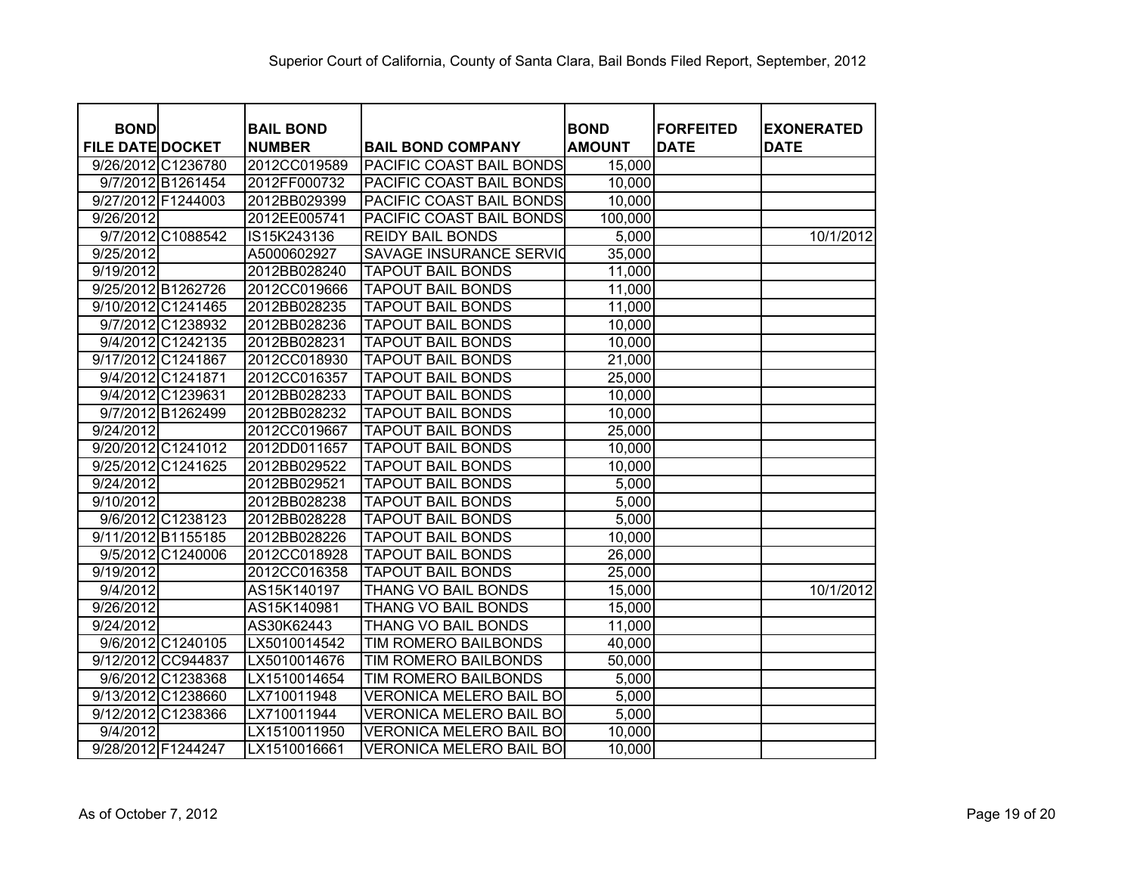| <b>BOND</b>             | <b>BAIL BOND</b> |                                 | <b>BOND</b>   | <b>FORFEITED</b> | <b>EXONERATED</b> |
|-------------------------|------------------|---------------------------------|---------------|------------------|-------------------|
| <b>FILE DATE DOCKET</b> | <b>NUMBER</b>    | <b>BAIL BOND COMPANY</b>        | <b>AMOUNT</b> | <b>DATE</b>      | <b>DATE</b>       |
| 9/26/2012 C1236780      | 2012CC019589     | <b>PACIFIC COAST BAIL BONDS</b> | 15,000        |                  |                   |
| 9/7/2012 B1261454       | 2012FF000732     | <b>PACIFIC COAST BAIL BONDS</b> | 10,000        |                  |                   |
| 9/27/2012 F1244003      | 2012BB029399     | <b>PACIFIC COAST BAIL BONDS</b> | 10,000        |                  |                   |
| 9/26/2012               | 2012EE005741     | PACIFIC COAST BAIL BONDS        | 100,000       |                  |                   |
| 9/7/2012 C1088542       | IS15K243136      | <b>REIDY BAIL BONDS</b>         | 5,000         |                  | 10/1/2012         |
| 9/25/2012               | A5000602927      | SAVAGE INSURANCE SERVIC         | 35,000        |                  |                   |
| 9/19/2012               | 2012BB028240     | <b>TAPOUT BAIL BONDS</b>        | 11,000        |                  |                   |
| 9/25/2012 B1262726      | 2012CC019666     | <b>TAPOUT BAIL BONDS</b>        | 11,000        |                  |                   |
| 9/10/2012 C1241465      | 2012BB028235     | <b>TAPOUT BAIL BONDS</b>        | 11,000        |                  |                   |
| 9/7/2012 C1238932       | 2012BB028236     | <b>TAPOUT BAIL BONDS</b>        | 10,000        |                  |                   |
| 9/4/2012 C1242135       | 2012BB028231     | <b>TAPOUT BAIL BONDS</b>        | 10,000        |                  |                   |
| 9/17/2012 C1241867      | 2012CC018930     | <b>TAPOUT BAIL BONDS</b>        | 21,000        |                  |                   |
| 9/4/2012 C1241871       | 2012CC016357     | <b>TAPOUT BAIL BONDS</b>        | 25,000        |                  |                   |
| 9/4/2012 C1239631       | 2012BB028233     | <b>TAPOUT BAIL BONDS</b>        | 10,000        |                  |                   |
| 9/7/2012 B1262499       | 2012BB028232     | <b>TAPOUT BAIL BONDS</b>        | 10,000        |                  |                   |
| 9/24/2012               | 2012CC019667     | <b>TAPOUT BAIL BONDS</b>        | 25,000        |                  |                   |
| 9/20/2012 C1241012      | 2012DD011657     | <b>TAPOUT BAIL BONDS</b>        | 10,000        |                  |                   |
| 9/25/2012 C1241625      | 2012BB029522     | <b>TAPOUT BAIL BONDS</b>        | 10,000        |                  |                   |
| 9/24/2012               | 2012BB029521     | <b>TAPOUT BAIL BONDS</b>        | 5,000         |                  |                   |
| 9/10/2012               | 2012BB028238     | <b>TAPOUT BAIL BONDS</b>        | 5,000         |                  |                   |
| 9/6/2012 C1238123       | 2012BB028228     | <b>TAPOUT BAIL BONDS</b>        | 5,000         |                  |                   |
| 9/11/2012 B1155185      | 2012BB028226     | <b>TAPOUT BAIL BONDS</b>        | 10,000        |                  |                   |
| 9/5/2012 C1240006       | 2012CC018928     | <b>TAPOUT BAIL BONDS</b>        | 26,000        |                  |                   |
| 9/19/2012               | 2012CC016358     | <b>TAPOUT BAIL BONDS</b>        | 25,000        |                  |                   |
| 9/4/2012                | AS15K140197      | THANG VO BAIL BONDS             | 15,000        |                  | 10/1/2012         |
| 9/26/2012               | AS15K140981      | THANG VO BAIL BONDS             | 15,000        |                  |                   |
| 9/24/2012               | AS30K62443       | THANG VO BAIL BONDS             | 11,000        |                  |                   |
| 9/6/2012 C1240105       | LX5010014542     | TIM ROMERO BAILBONDS            | 40,000        |                  |                   |
| 9/12/2012 CC944837      | LX5010014676     | TIM ROMERO BAILBONDS            | 50,000        |                  |                   |
| 9/6/2012 C1238368       | LX1510014654     | <b>TIM ROMERO BAILBONDS</b>     | 5,000         |                  |                   |
| 9/13/2012 C1238660      | LX710011948      | <b>VERONICA MELERO BAIL BO</b>  | 5,000         |                  |                   |
| 9/12/2012 C1238366      | LX710011944      | <b>VERONICA MELERO BAIL BO</b>  | 5,000         |                  |                   |
| 9/4/2012                | LX1510011950     | <b>VERONICA MELERO BAIL BO</b>  | 10,000        |                  |                   |
| 9/28/2012 F1244247      | LX1510016661     | <b>VERONICA MELERO BAIL BO</b>  | 10,000        |                  |                   |